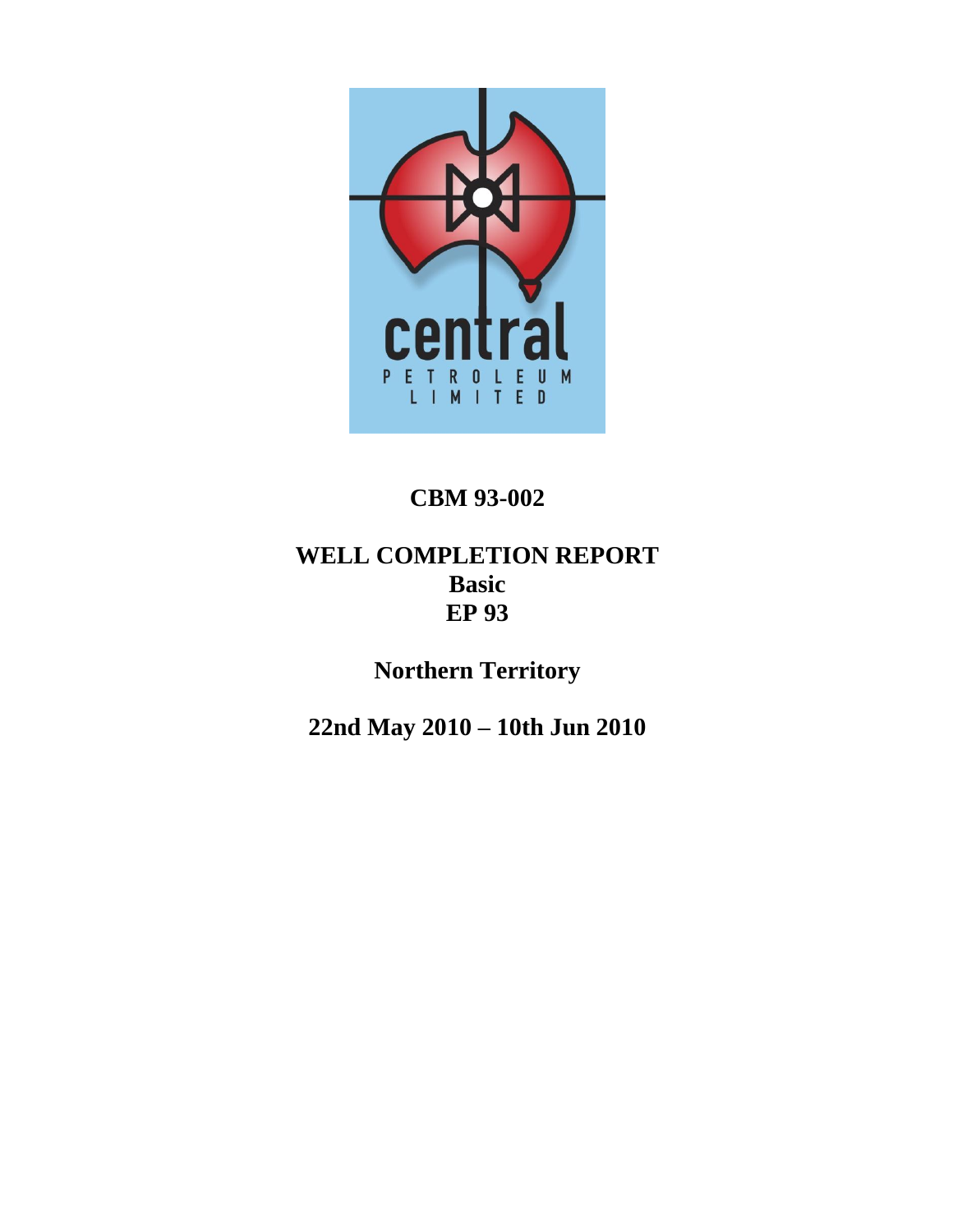

# **CBM 93-002**

# **WELL COMPLETION REPORT Basic EP 93**

**Northern Territory**

**22nd May 2010 – 10th Jun 2010**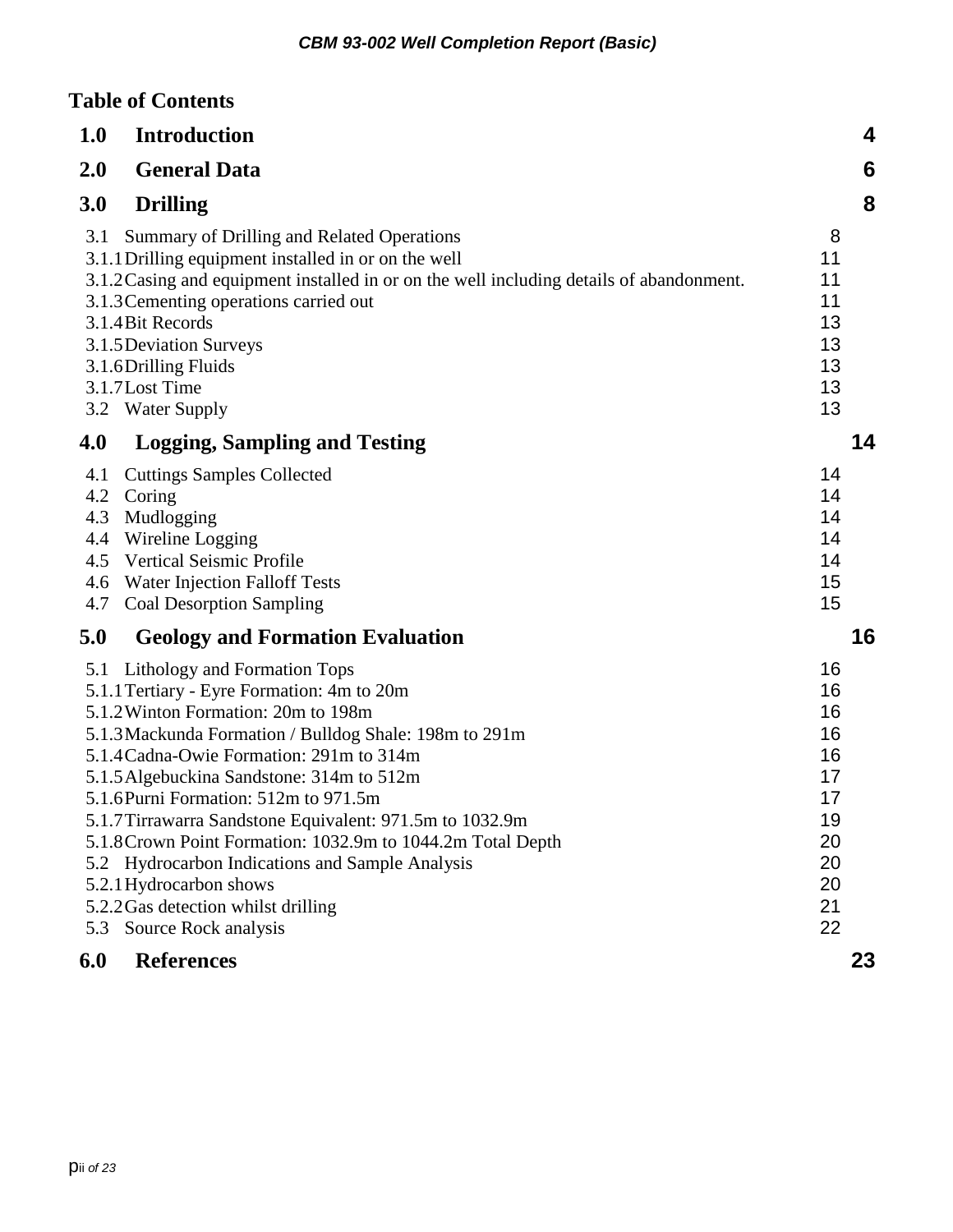## **Table of Contents**

| 1.0                                           | <b>Introduction</b>                                                                                                                                                                                                                                                                                                                                                                                                                                                                                                                                                                   | 4                                                                          |  |
|-----------------------------------------------|---------------------------------------------------------------------------------------------------------------------------------------------------------------------------------------------------------------------------------------------------------------------------------------------------------------------------------------------------------------------------------------------------------------------------------------------------------------------------------------------------------------------------------------------------------------------------------------|----------------------------------------------------------------------------|--|
| 2.0                                           | <b>General Data</b>                                                                                                                                                                                                                                                                                                                                                                                                                                                                                                                                                                   | 6                                                                          |  |
| 3.0                                           | <b>Drilling</b>                                                                                                                                                                                                                                                                                                                                                                                                                                                                                                                                                                       | 8                                                                          |  |
| 3.1                                           | Summary of Drilling and Related Operations<br>3.1.1 Drilling equipment installed in or on the well<br>3.1.2 Casing and equipment installed in or on the well including details of abandonment.<br>3.1.3 Cementing operations carried out<br>3.1.4 Bit Records<br>3.1.5 Deviation Surveys<br>3.1.6 Drilling Fluids<br>3.1.7 Lost Time<br>3.2 Water Supply                                                                                                                                                                                                                              | 8<br>11<br>11<br>11<br>13<br>13<br>13<br>13<br>13                          |  |
| 4.0                                           | <b>Logging, Sampling and Testing</b>                                                                                                                                                                                                                                                                                                                                                                                                                                                                                                                                                  | 14                                                                         |  |
| 4.1<br>4.2<br>4.3<br>4.4<br>4.5<br>4.6<br>4.7 | <b>Cuttings Samples Collected</b><br>Coring<br>Mudlogging<br>Wireline Logging<br><b>Vertical Seismic Profile</b><br>Water Injection Falloff Tests<br><b>Coal Desorption Sampling</b>                                                                                                                                                                                                                                                                                                                                                                                                  | 14<br>14<br>14<br>14<br>14<br>15<br>15                                     |  |
| 5.0                                           | <b>Geology and Formation Evaluation</b>                                                                                                                                                                                                                                                                                                                                                                                                                                                                                                                                               | 16                                                                         |  |
| 5.1<br>5.3                                    | Lithology and Formation Tops<br>5.1.1 Tertiary - Eyre Formation: 4m to 20m<br>5.1.2 Winton Formation: 20m to 198m<br>5.1.3 Mackunda Formation / Bulldog Shale: 198m to 291m<br>5.1.4 Cadna-Owie Formation: 291m to 314m<br>5.1.5 Algebuckina Sandstone: 314m to 512m<br>5.1.6 Purni Formation: 512m to 971.5m<br>5.1.7 Tirrawarra Sandstone Equivalent: 971.5m to 1032.9m<br>5.1.8 Crown Point Formation: 1032.9m to 1044.2m Total Depth<br>5.2 Hydrocarbon Indications and Sample Analysis<br>5.2.1 Hydrocarbon shows<br>5.2.2 Gas detection whilst drilling<br>Source Rock analysis | 16<br>16<br>16<br>16<br>16<br>17<br>17<br>19<br>20<br>20<br>20<br>21<br>22 |  |
| 6.0                                           | <b>References</b>                                                                                                                                                                                                                                                                                                                                                                                                                                                                                                                                                                     | 23                                                                         |  |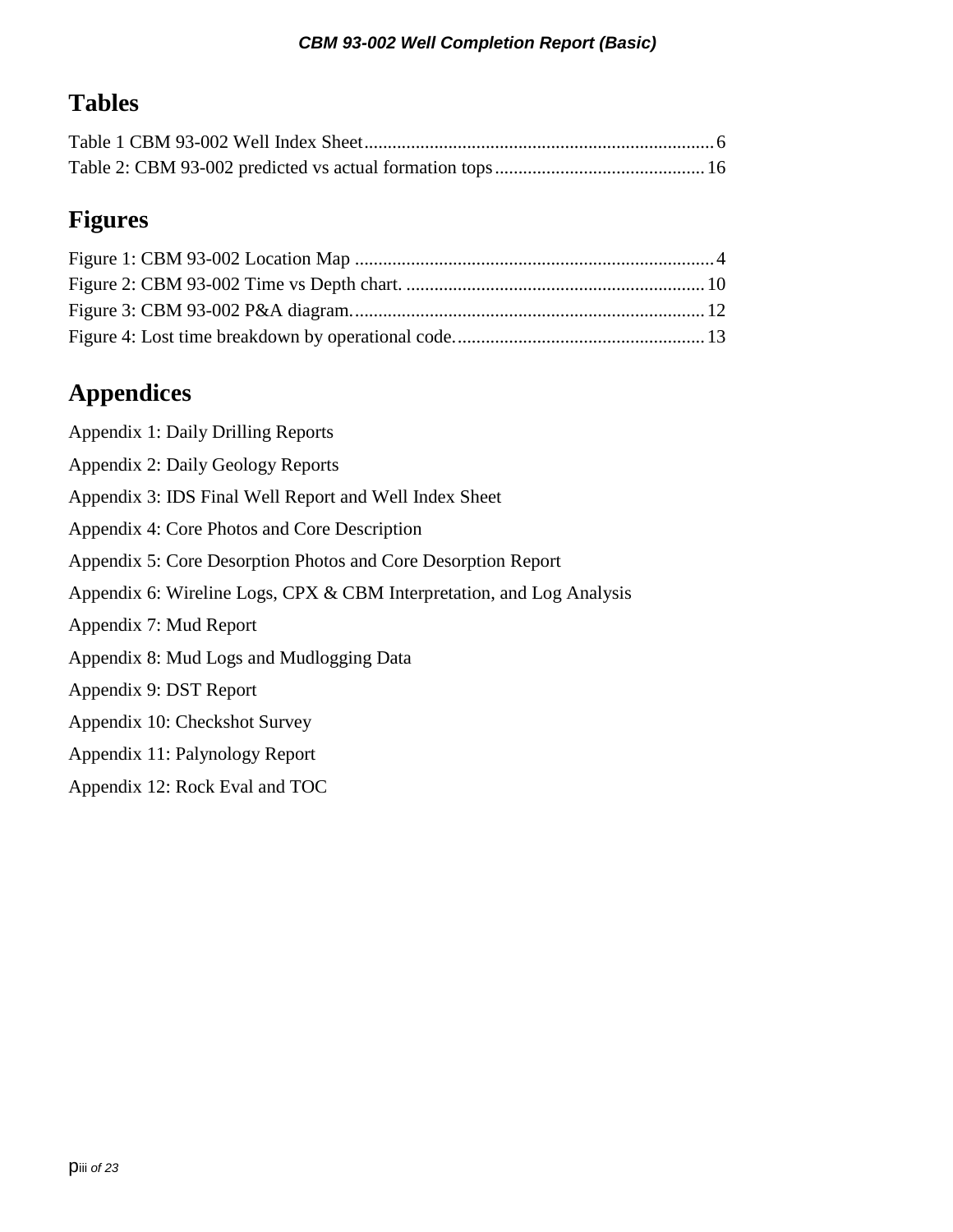# **Tables**

# **Figures**

# **Appendices**

| Appendix 1: Daily Drilling Reports                                    |
|-----------------------------------------------------------------------|
| Appendix 2: Daily Geology Reports                                     |
| Appendix 3: IDS Final Well Report and Well Index Sheet                |
| Appendix 4: Core Photos and Core Description                          |
| Appendix 5: Core Desorption Photos and Core Desorption Report         |
| Appendix 6: Wireline Logs, CPX & CBM Interpretation, and Log Analysis |
| Appendix 7: Mud Report                                                |
| Appendix 8: Mud Logs and Mudlogging Data                              |
| Appendix 9: DST Report                                                |
| Appendix 10: Checkshot Survey                                         |
| Appendix 11: Palynology Report                                        |
| Appendix 12: Rock Eval and TOC                                        |
|                                                                       |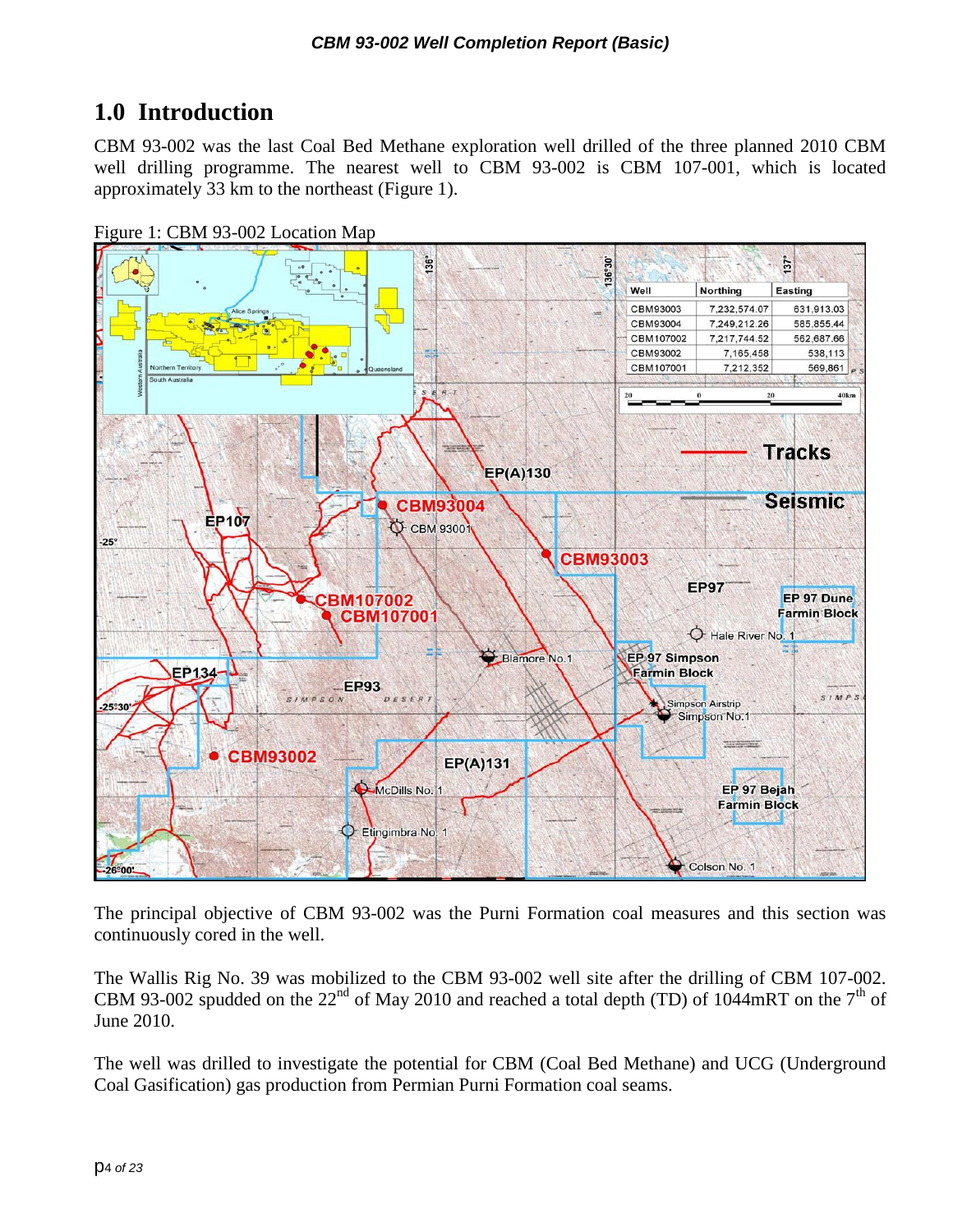# <span id="page-3-0"></span>**1.0 Introduction**

CBM 93-002 was the last Coal Bed Methane exploration well drilled of the three planned 2010 CBM well drilling programme. The nearest well to CBM 93-002 is CBM 107-001, which is located approximately 33 km to the northeast (Figure 1).

<span id="page-3-1"></span>



The principal objective of CBM 93-002 was the Purni Formation coal measures and this section was continuously cored in the well.

The Wallis Rig No. 39 was mobilized to the CBM 93-002 well site after the drilling of CBM 107-002. CBM 93-002 spudded on the 22<sup>nd</sup> of May 2010 and reached a total depth (TD) of 1044mRT on the 7<sup>th</sup> of June 2010.

The well was drilled to investigate the potential for CBM (Coal Bed Methane) and UCG (Underground Coal Gasification) gas production from Permian Purni Formation coal seams.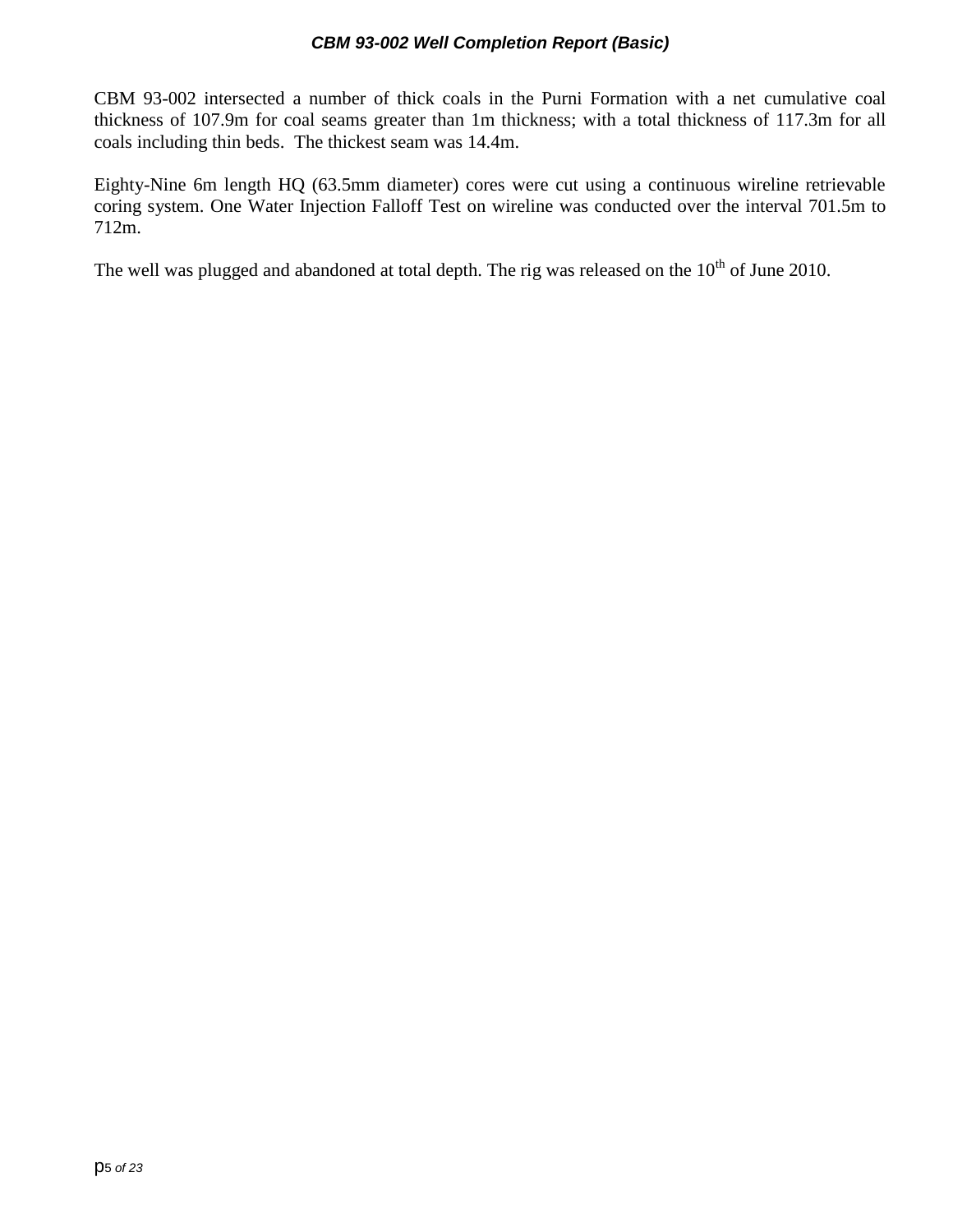CBM 93-002 intersected a number of thick coals in the Purni Formation with a net cumulative coal thickness of 107.9m for coal seams greater than 1m thickness; with a total thickness of 117.3m for all coals including thin beds. The thickest seam was 14.4m.

Eighty-Nine 6m length HQ (63.5mm diameter) cores were cut using a continuous wireline retrievable coring system. One Water Injection Falloff Test on wireline was conducted over the interval 701.5m to 712m.

The well was plugged and abandoned at total depth. The rig was released on the  $10<sup>th</sup>$  of June 2010.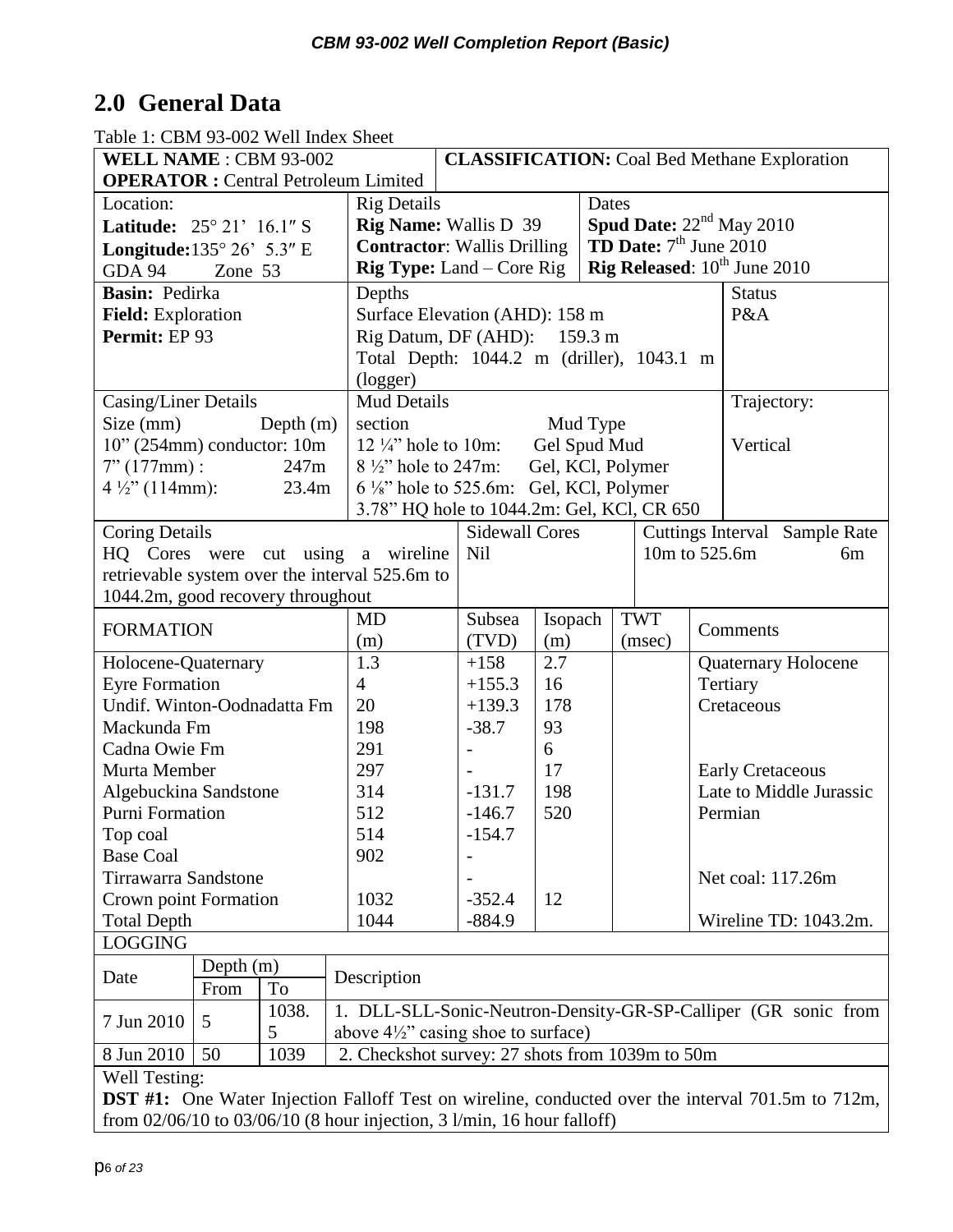# <span id="page-5-0"></span>**2.0 General Data**

| WELL NAME : CBM 93-002                                                                                   |             |             |                                                 |                                                                                | <b>CLASSIFICATION:</b> Coal Bed Methane Exploration            |          |                                   |  |                            |                               |    |
|----------------------------------------------------------------------------------------------------------|-------------|-------------|-------------------------------------------------|--------------------------------------------------------------------------------|----------------------------------------------------------------|----------|-----------------------------------|--|----------------------------|-------------------------------|----|
|                                                                                                          |             |             | <b>OPERATOR</b> : Central Petroleum Limited     |                                                                                |                                                                |          |                                   |  |                            |                               |    |
| Location:                                                                                                |             |             |                                                 | <b>Rig Details</b>                                                             |                                                                |          | Dates                             |  |                            |                               |    |
| <b>Latitude:</b> $25^{\circ} 21' 16.1'' S$                                                               |             |             |                                                 | <b>Rig Name:</b> Wallis D 39                                                   |                                                                |          | <b>Spud Date:</b> $22nd$ May 2010 |  |                            |                               |    |
| Longitude: $135^{\circ} 26' 5.3''$ E                                                                     |             |             |                                                 | <b>Contractor: Wallis Drilling</b>                                             |                                                                |          | <b>TD Date:</b> $7th$ June 2010   |  |                            |                               |    |
| GDA 94                                                                                                   | Zone 53     |             |                                                 | <b>Rig Released:</b> $10^{th}$ June 2010<br><b>Rig Type:</b> Land $-$ Core Rig |                                                                |          |                                   |  |                            |                               |    |
| Basin: Pedirka                                                                                           |             |             | Depths                                          |                                                                                |                                                                |          |                                   |  | <b>Status</b>              |                               |    |
| Field: Exploration                                                                                       |             |             |                                                 | Surface Elevation (AHD): 158 m                                                 |                                                                |          |                                   |  | P&A                        |                               |    |
| Permit: EP 93                                                                                            |             |             |                                                 | Rig Datum, DF (AHD): 159.3 m                                                   |                                                                |          |                                   |  |                            |                               |    |
|                                                                                                          |             |             |                                                 | Total Depth: 1044.2 m (driller), 1043.1 m                                      |                                                                |          |                                   |  |                            |                               |    |
|                                                                                                          |             |             | (logger)                                        |                                                                                |                                                                |          |                                   |  |                            |                               |    |
| Casing/Liner Details                                                                                     |             |             | <b>Mud Details</b>                              |                                                                                |                                                                |          |                                   |  | Trajectory:                |                               |    |
| Size (mm)                                                                                                |             | Depth $(m)$ | section                                         |                                                                                |                                                                | Mud Type |                                   |  |                            |                               |    |
| $10$ " (254mm) conductor: 10m                                                                            |             |             | 12 $\frac{1}{4}$ hole to 10m:                   |                                                                                | Gel Spud Mud                                                   |          |                                   |  | Vertical                   |                               |    |
| $7" (177mm)$ :                                                                                           |             | 247m        | $8\frac{1}{2}$ hole to 247m:                    |                                                                                |                                                                |          | Gel, KCl, Polymer                 |  |                            |                               |    |
| $4\frac{1}{2}$ " (114mm):                                                                                |             | 23.4m       |                                                 | 6 1/8" hole to 525.6m: Gel, KCl, Polymer                                       |                                                                |          |                                   |  |                            |                               |    |
|                                                                                                          |             |             |                                                 | 3.78" HQ hole to 1044.2m: Gel, KCl, CR 650                                     |                                                                |          |                                   |  |                            |                               |    |
| <b>Coring Details</b>                                                                                    |             |             |                                                 | <b>Sidewall Cores</b>                                                          |                                                                |          |                                   |  |                            | Cuttings Interval Sample Rate |    |
|                                                                                                          |             |             | HQ Cores were cut using a wireline              | <b>Nil</b>                                                                     |                                                                |          | 10m to 525.6m                     |  |                            |                               | 6m |
|                                                                                                          |             |             | retrievable system over the interval 525.6m to  |                                                                                |                                                                |          |                                   |  |                            |                               |    |
| 1044.2m, good recovery throughout                                                                        |             |             |                                                 |                                                                                |                                                                |          |                                   |  |                            |                               |    |
|                                                                                                          |             |             | <b>MD</b>                                       | Subsea                                                                         | Isopach                                                        |          | <b>TWT</b>                        |  |                            |                               |    |
| <b>FORMATION</b>                                                                                         |             |             | (m)                                             | (TVD)                                                                          | (m)                                                            |          | (msec)                            |  | Comments                   |                               |    |
| Holocene-Quaternary                                                                                      |             |             | 1.3                                             | $+158$                                                                         | 2.7                                                            |          |                                   |  | <b>Quaternary Holocene</b> |                               |    |
| <b>Eyre Formation</b>                                                                                    |             |             | $\overline{4}$                                  | $+155.3$                                                                       | 16                                                             |          |                                   |  | Tertiary                   |                               |    |
| Undif. Winton-Oodnadatta Fm                                                                              |             |             | 20                                              | $+139.3$                                                                       | 178                                                            |          |                                   |  | Cretaceous                 |                               |    |
| Mackunda Fm                                                                                              |             |             | 198                                             | $-38.7$                                                                        | 93                                                             |          |                                   |  |                            |                               |    |
| Cadna Owie Fm                                                                                            |             |             | 291                                             | $\overline{\phantom{0}}$                                                       | 6                                                              |          |                                   |  |                            |                               |    |
| Murta Member                                                                                             |             |             | 297                                             |                                                                                | 17                                                             |          |                                   |  |                            | <b>Early Cretaceous</b>       |    |
| Algebuckina Sandstone                                                                                    |             |             | 314                                             | $-131.7$                                                                       | 198                                                            |          |                                   |  |                            | Late to Middle Jurassic       |    |
| Purni Formation                                                                                          |             |             | 512                                             | $-146.7$                                                                       | 520                                                            |          |                                   |  | Permian                    |                               |    |
| Top coal                                                                                                 |             |             | 514                                             | $-154.7$                                                                       |                                                                |          |                                   |  |                            |                               |    |
| <b>Base Coal</b>                                                                                         |             |             | 902                                             |                                                                                |                                                                |          |                                   |  |                            |                               |    |
| <b>Tirrawarra Sandstone</b>                                                                              |             |             |                                                 |                                                                                |                                                                |          |                                   |  |                            | Net coal: 117.26m             |    |
| Crown point Formation                                                                                    |             |             | 1032                                            | $-352.4$                                                                       | 12                                                             |          |                                   |  |                            |                               |    |
| <b>Total Depth</b>                                                                                       |             |             | 1044                                            | $-884.9$                                                                       |                                                                |          |                                   |  |                            | Wireline TD: 1043.2m.         |    |
| <b>LOGGING</b>                                                                                           |             |             |                                                 |                                                                                |                                                                |          |                                   |  |                            |                               |    |
|                                                                                                          | Depth $(m)$ |             |                                                 |                                                                                |                                                                |          |                                   |  |                            |                               |    |
| Date                                                                                                     | From        | To          | Description                                     |                                                                                |                                                                |          |                                   |  |                            |                               |    |
|                                                                                                          |             | 1038.       |                                                 |                                                                                | 1. DLL-SLL-Sonic-Neutron-Density-GR-SP-Calliper (GR sonic from |          |                                   |  |                            |                               |    |
| 7 Jun 2010                                                                                               | 5           | 5           |                                                 |                                                                                | above $4\frac{1}{2}$ " casing shoe to surface)                 |          |                                   |  |                            |                               |    |
| 8 Jun 2010                                                                                               | 50          | 1039        | 2. Checkshot survey: 27 shots from 1039m to 50m |                                                                                |                                                                |          |                                   |  |                            |                               |    |
| <b>Well Testing:</b>                                                                                     |             |             |                                                 |                                                                                |                                                                |          |                                   |  |                            |                               |    |
| <b>DST</b> #1: One Water Injection Falloff Test on wireline, conducted over the interval 701.5m to 712m, |             |             |                                                 |                                                                                |                                                                |          |                                   |  |                            |                               |    |
| from $02/06/10$ to $03/06/10$ (8 hour injection, 3 l/min, 16 hour falloff)                               |             |             |                                                 |                                                                                |                                                                |          |                                   |  |                            |                               |    |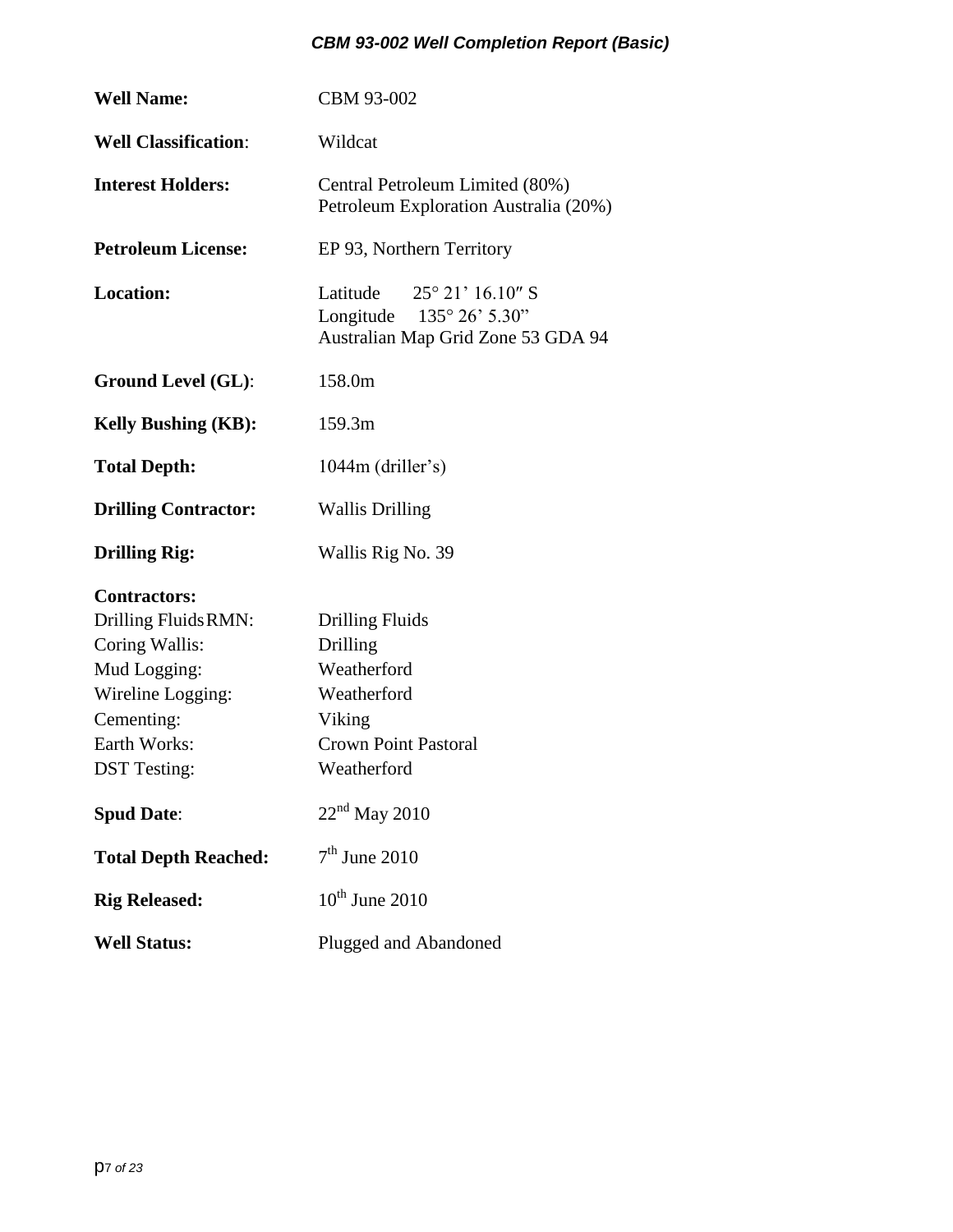| <b>Well Name:</b>                                                                                                                                       | CBM 93-002                                                                                                               |  |  |  |  |
|---------------------------------------------------------------------------------------------------------------------------------------------------------|--------------------------------------------------------------------------------------------------------------------------|--|--|--|--|
| <b>Well Classification:</b>                                                                                                                             | Wildcat                                                                                                                  |  |  |  |  |
| <b>Interest Holders:</b>                                                                                                                                | Central Petroleum Limited (80%)<br>Petroleum Exploration Australia (20%)                                                 |  |  |  |  |
| <b>Petroleum License:</b>                                                                                                                               | EP 93, Northern Territory                                                                                                |  |  |  |  |
| <b>Location:</b>                                                                                                                                        | Latitude $25^{\circ} 21' 16.10''$ S<br>Longitude $135^{\circ} 26' 5.30"$<br>Australian Map Grid Zone 53 GDA 94           |  |  |  |  |
| <b>Ground Level (GL):</b>                                                                                                                               | 158.0m                                                                                                                   |  |  |  |  |
| <b>Kelly Bushing (KB):</b>                                                                                                                              | 159.3m                                                                                                                   |  |  |  |  |
| <b>Total Depth:</b>                                                                                                                                     | 1044m (driller's)                                                                                                        |  |  |  |  |
| <b>Drilling Contractor:</b>                                                                                                                             | <b>Wallis Drilling</b>                                                                                                   |  |  |  |  |
| <b>Drilling Rig:</b>                                                                                                                                    | Wallis Rig No. 39                                                                                                        |  |  |  |  |
| <b>Contractors:</b><br>Drilling Fluids RMN:<br>Coring Wallis:<br>Mud Logging:<br>Wireline Logging:<br>Cementing:<br>Earth Works:<br><b>DST</b> Testing: | <b>Drilling Fluids</b><br>Drilling<br>Weatherford<br>Weatherford<br>Viking<br><b>Crown Point Pastoral</b><br>Weatherford |  |  |  |  |
| <b>Spud Date:</b>                                                                                                                                       | $22nd$ May 2010                                                                                                          |  |  |  |  |
| <b>Total Depth Reached:</b>                                                                                                                             | $7th$ June 2010                                                                                                          |  |  |  |  |
| <b>Rig Released:</b>                                                                                                                                    | $10^{th}$ June 2010                                                                                                      |  |  |  |  |
| <b>Well Status:</b>                                                                                                                                     | Plugged and Abandoned                                                                                                    |  |  |  |  |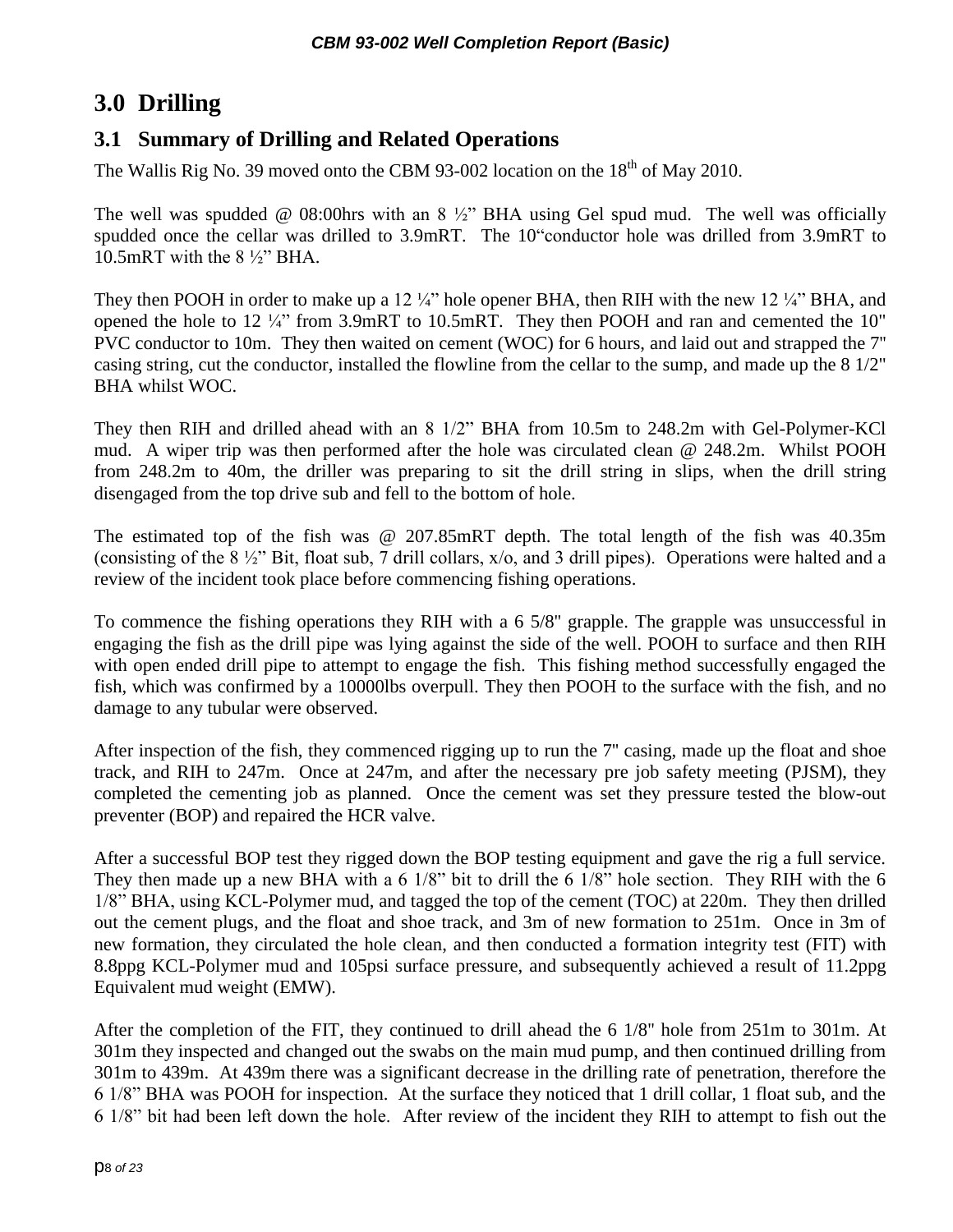# <span id="page-7-0"></span>**3.0 Drilling**

### <span id="page-7-1"></span>**3.1 Summary of Drilling and Related Operations**

The Wallis Rig No. 39 moved onto the CBM 93-002 location on the  $18<sup>th</sup>$  of May 2010.

The well was spudded  $\omega$  08:00hrs with an 8  $\frac{1}{2}$  BHA using Gel spud mud. The well was officially spudded once the cellar was drilled to 3.9mRT. The 10"conductor hole was drilled from 3.9mRT to 10.5mRT with the 8 ½" BHA.

They then POOH in order to make up a 12  $\frac{1}{4}$ " hole opener BHA, then RIH with the new 12  $\frac{1}{4}$ " BHA, and opened the hole to  $12\frac{1}{4}$ " from 3.9mRT to 10.5mRT. They then POOH and ran and cemented the 10" PVC conductor to 10m. They then waited on cement (WOC) for 6 hours, and laid out and strapped the 7'' casing string, cut the conductor, installed the flowline from the cellar to the sump, and made up the 8 1/2" BHA whilst WOC.

They then RIH and drilled ahead with an 8 1/2" BHA from 10.5m to 248.2m with Gel-Polymer-KCl mud. A wiper trip was then performed after the hole was circulated clean @ 248.2m. Whilst POOH from 248.2m to 40m, the driller was preparing to sit the drill string in slips, when the drill string disengaged from the top drive sub and fell to the bottom of hole.

The estimated top of the fish was @ 207.85mRT depth. The total length of the fish was 40.35m (consisting of the 8 ½" Bit, float sub, 7 drill collars, x/o, and 3 drill pipes). Operations were halted and a review of the incident took place before commencing fishing operations.

To commence the fishing operations they RIH with a 6 5/8'' grapple. The grapple was unsuccessful in engaging the fish as the drill pipe was lying against the side of the well. POOH to surface and then RIH with open ended drill pipe to attempt to engage the fish. This fishing method successfully engaged the fish, which was confirmed by a 10000lbs overpull. They then POOH to the surface with the fish, and no damage to any tubular were observed.

After inspection of the fish, they commenced rigging up to run the 7'' casing, made up the float and shoe track, and RIH to 247m. Once at 247m, and after the necessary pre job safety meeting (PJSM), they completed the cementing job as planned. Once the cement was set they pressure tested the blow-out preventer (BOP) and repaired the HCR valve.

After a successful BOP test they rigged down the BOP testing equipment and gave the rig a full service. They then made up a new BHA with a 6 1/8" bit to drill the 6 1/8" hole section. They RIH with the 6 1/8" BHA, using KCL-Polymer mud, and tagged the top of the cement (TOC) at 220m. They then drilled out the cement plugs, and the float and shoe track, and 3m of new formation to 251m. Once in 3m of new formation, they circulated the hole clean, and then conducted a formation integrity test (FIT) with 8.8ppg KCL-Polymer mud and 105psi surface pressure, and subsequently achieved a result of 11.2ppg Equivalent mud weight (EMW).

After the completion of the FIT, they continued to drill ahead the 6 1/8'' hole from 251m to 301m. At 301m they inspected and changed out the swabs on the main mud pump, and then continued drilling from 301m to 439m. At 439m there was a significant decrease in the drilling rate of penetration, therefore the 6 1/8" BHA was POOH for inspection. At the surface they noticed that 1 drill collar, 1 float sub, and the 6 1/8" bit had been left down the hole. After review of the incident they RIH to attempt to fish out the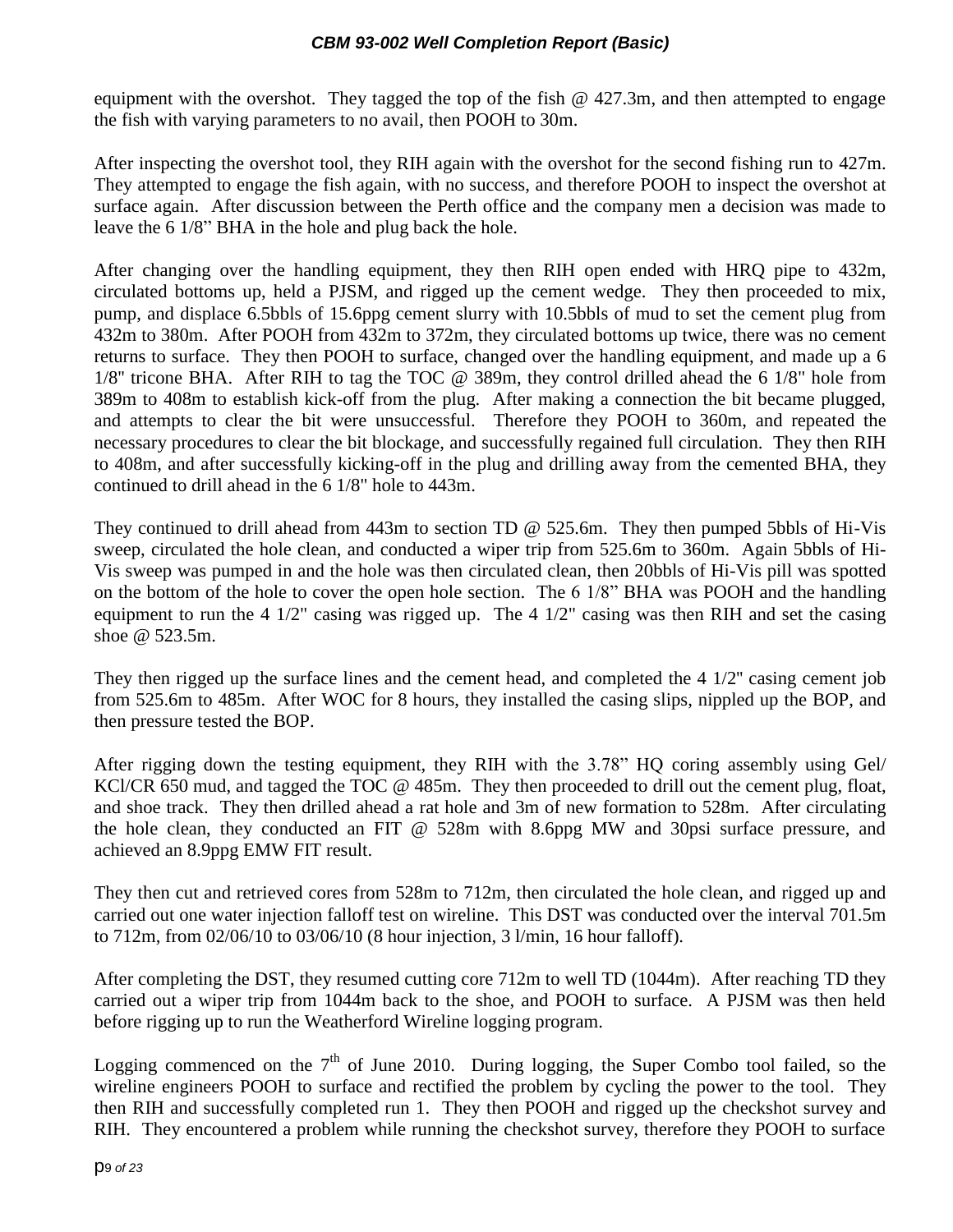equipment with the overshot. They tagged the top of the fish @ 427.3m, and then attempted to engage the fish with varying parameters to no avail, then POOH to 30m.

After inspecting the overshot tool, they RIH again with the overshot for the second fishing run to 427m. They attempted to engage the fish again, with no success, and therefore POOH to inspect the overshot at surface again. After discussion between the Perth office and the company men a decision was made to leave the 6 1/8" BHA in the hole and plug back the hole.

After changing over the handling equipment, they then RIH open ended with HRQ pipe to 432m, circulated bottoms up, held a PJSM, and rigged up the cement wedge. They then proceeded to mix, pump, and displace 6.5bbls of 15.6ppg cement slurry with 10.5bbls of mud to set the cement plug from 432m to 380m. After POOH from 432m to 372m, they circulated bottoms up twice, there was no cement returns to surface. They then POOH to surface, changed over the handling equipment, and made up a 6 1/8'' tricone BHA. After RIH to tag the TOC @ 389m, they control drilled ahead the 6 1/8" hole from 389m to 408m to establish kick-off from the plug. After making a connection the bit became plugged, and attempts to clear the bit were unsuccessful. Therefore they POOH to 360m, and repeated the necessary procedures to clear the bit blockage, and successfully regained full circulation. They then RIH to 408m, and after successfully kicking-off in the plug and drilling away from the cemented BHA, they continued to drill ahead in the 6 1/8" hole to 443m.

They continued to drill ahead from 443m to section TD @ 525.6m. They then pumped 5bbls of Hi-Vis sweep, circulated the hole clean, and conducted a wiper trip from 525.6m to 360m. Again 5bbls of Hi-Vis sweep was pumped in and the hole was then circulated clean, then 20bbls of Hi-Vis pill was spotted on the bottom of the hole to cover the open hole section. The 6 1/8" BHA was POOH and the handling equipment to run the 4 1/2" casing was rigged up. The 4 1/2" casing was then RIH and set the casing shoe @ 523.5m.

They then rigged up the surface lines and the cement head, and completed the 4 1/2" casing cement job from 525.6m to 485m. After WOC for 8 hours, they installed the casing slips, nippled up the BOP, and then pressure tested the BOP.

After rigging down the testing equipment, they RIH with the 3.78" HQ coring assembly using Gel/ KCl/CR 650 mud, and tagged the TOC @ 485m. They then proceeded to drill out the cement plug, float, and shoe track. They then drilled ahead a rat hole and 3m of new formation to 528m. After circulating the hole clean, they conducted an FIT @ 528m with 8.6ppg MW and 30psi surface pressure, and achieved an 8.9ppg EMW FIT result.

They then cut and retrieved cores from 528m to 712m, then circulated the hole clean, and rigged up and carried out one water injection falloff test on wireline. This DST was conducted over the interval 701.5m to 712m, from 02/06/10 to 03/06/10 (8 hour injection, 3 l/min, 16 hour falloff).

After completing the DST, they resumed cutting core 712m to well TD (1044m). After reaching TD they carried out a wiper trip from 1044m back to the shoe, and POOH to surface. A PJSM was then held before rigging up to run the Weatherford Wireline logging program.

Logging commenced on the  $7<sup>th</sup>$  of June 2010. During logging, the Super Combo tool failed, so the wireline engineers POOH to surface and rectified the problem by cycling the power to the tool. They then RIH and successfully completed run 1. They then POOH and rigged up the checkshot survey and RIH. They encountered a problem while running the checkshot survey, therefore they POOH to surface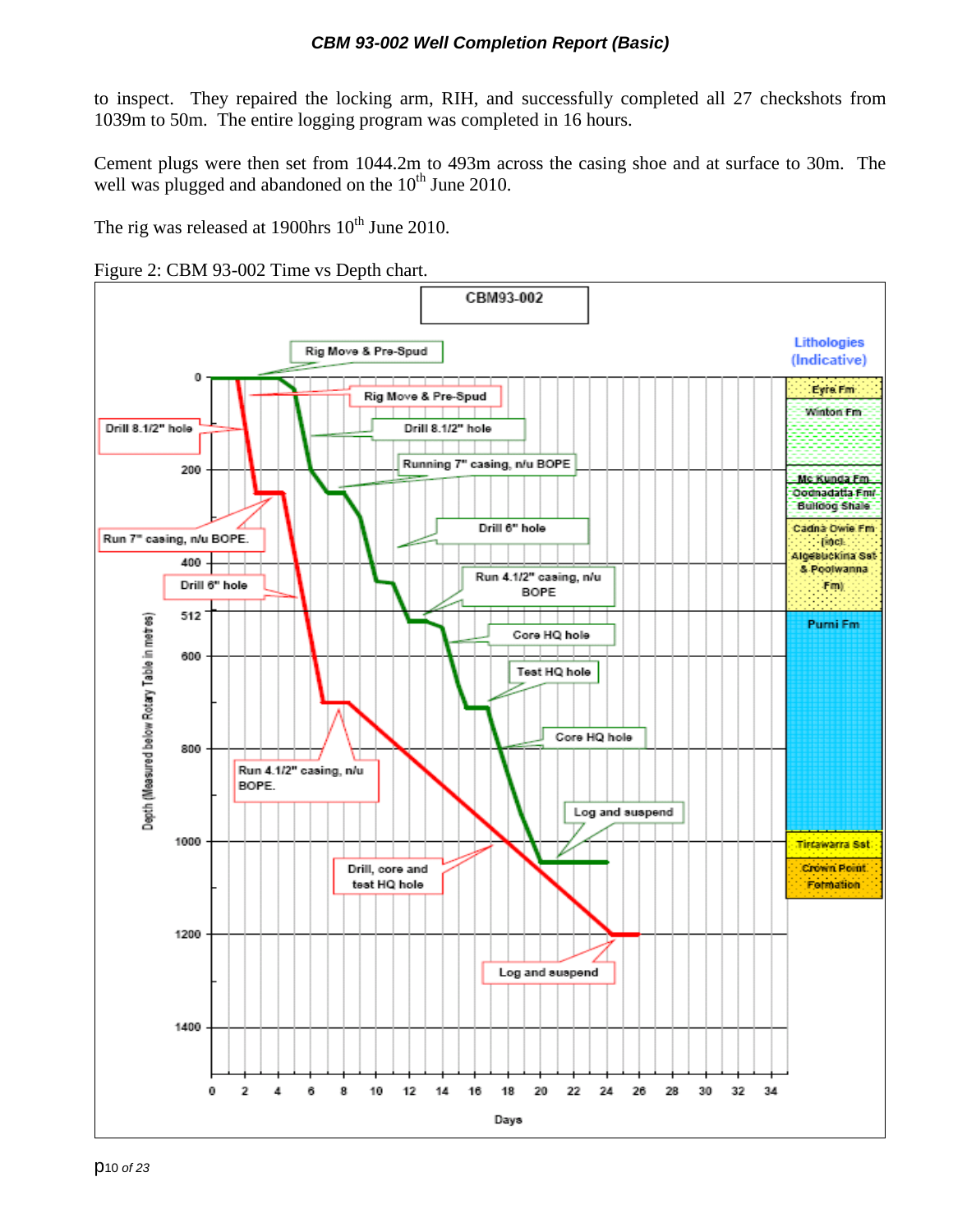to inspect. They repaired the locking arm, RIH, and successfully completed all 27 checkshots from 1039m to 50m. The entire logging program was completed in 16 hours.

Cement plugs were then set from 1044.2m to 493m across the casing shoe and at surface to 30m. The well was plugged and abandoned on the  $10<sup>th</sup>$  June 2010.

The rig was released at 1900hrs  $10^{th}$  June 2010.

<span id="page-9-0"></span>

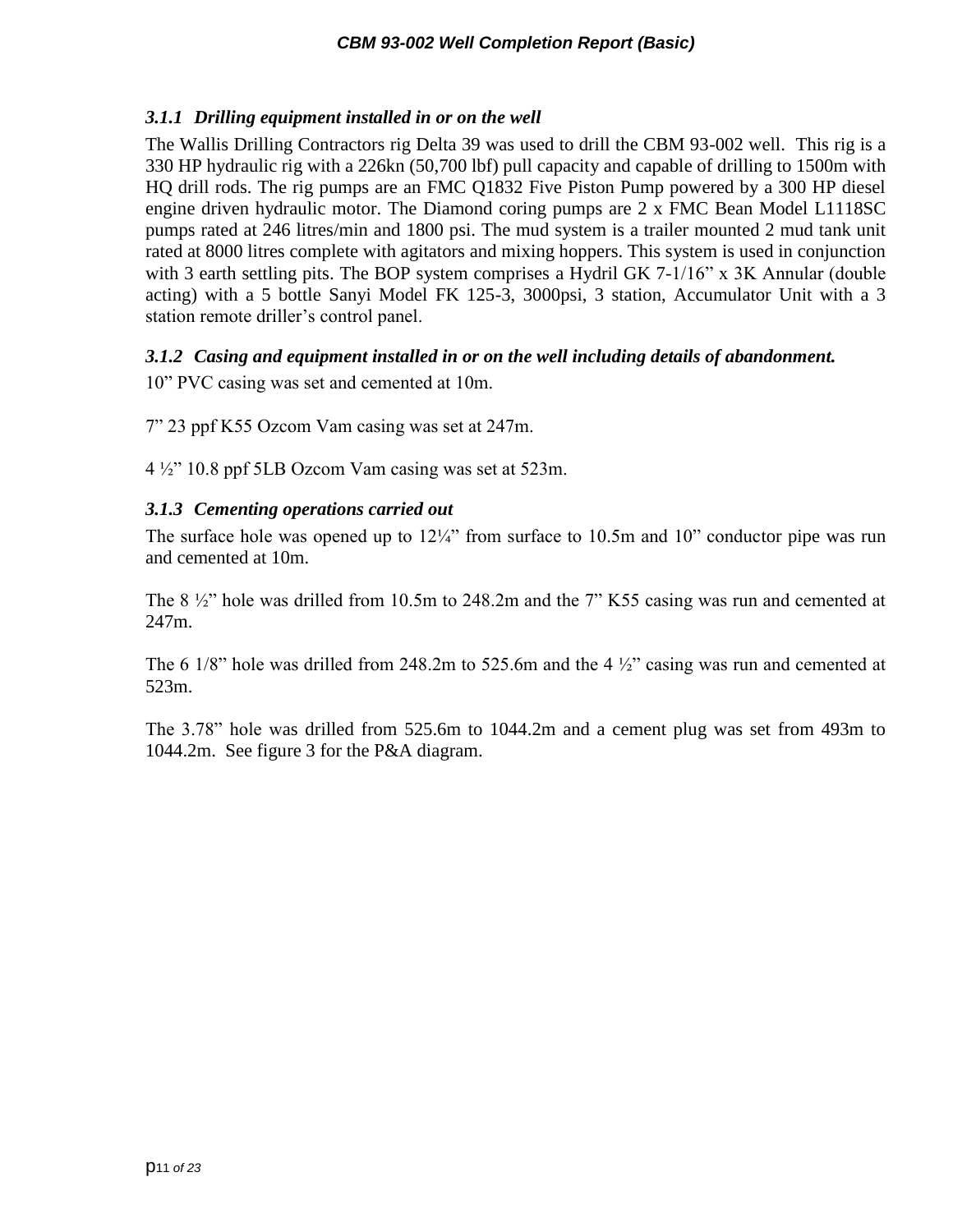### <span id="page-10-0"></span>*3.1.1 Drilling equipment installed in or on the well*

The Wallis Drilling Contractors rig Delta 39 was used to drill the CBM 93-002 well. This rig is a 330 HP hydraulic rig with a 226kn (50,700 lbf) pull capacity and capable of drilling to 1500m with HQ drill rods. The rig pumps are an FMC Q1832 Five Piston Pump powered by a 300 HP diesel engine driven hydraulic motor. The Diamond coring pumps are 2 x FMC Bean Model L1118SC pumps rated at 246 litres/min and 1800 psi. The mud system is a trailer mounted 2 mud tank unit rated at 8000 litres complete with agitators and mixing hoppers. This system is used in conjunction with 3 earth settling pits. The BOP system comprises a Hydril GK 7-1/16" x 3K Annular (double acting) with a 5 bottle Sanyi Model FK 125-3, 3000psi, 3 station, Accumulator Unit with a 3 station remote driller's control panel.

### <span id="page-10-1"></span>*3.1.2 Casing and equipment installed in or on the well including details of abandonment.*

10" PVC casing was set and cemented at 10m.

7" 23 ppf K55 Ozcom Vam casing was set at 247m.

4 ½" 10.8 ppf 5LB Ozcom Vam casing was set at 523m.

### <span id="page-10-2"></span>*3.1.3 Cementing operations carried out*

The surface hole was opened up to  $12\frac{1}{4}$ " from surface to 10.5m and 10" conductor pipe was run and cemented at 10m.

The 8 ½" hole was drilled from 10.5m to 248.2m and the 7" K55 casing was run and cemented at 247m.

The 6 1/8" hole was drilled from 248.2m to 525.6m and the 4  $\frac{1}{2}$ " casing was run and cemented at 523m.

The 3.78" hole was drilled from 525.6m to 1044.2m and a cement plug was set from 493m to 1044.2m. See figure 3 for the P&A diagram.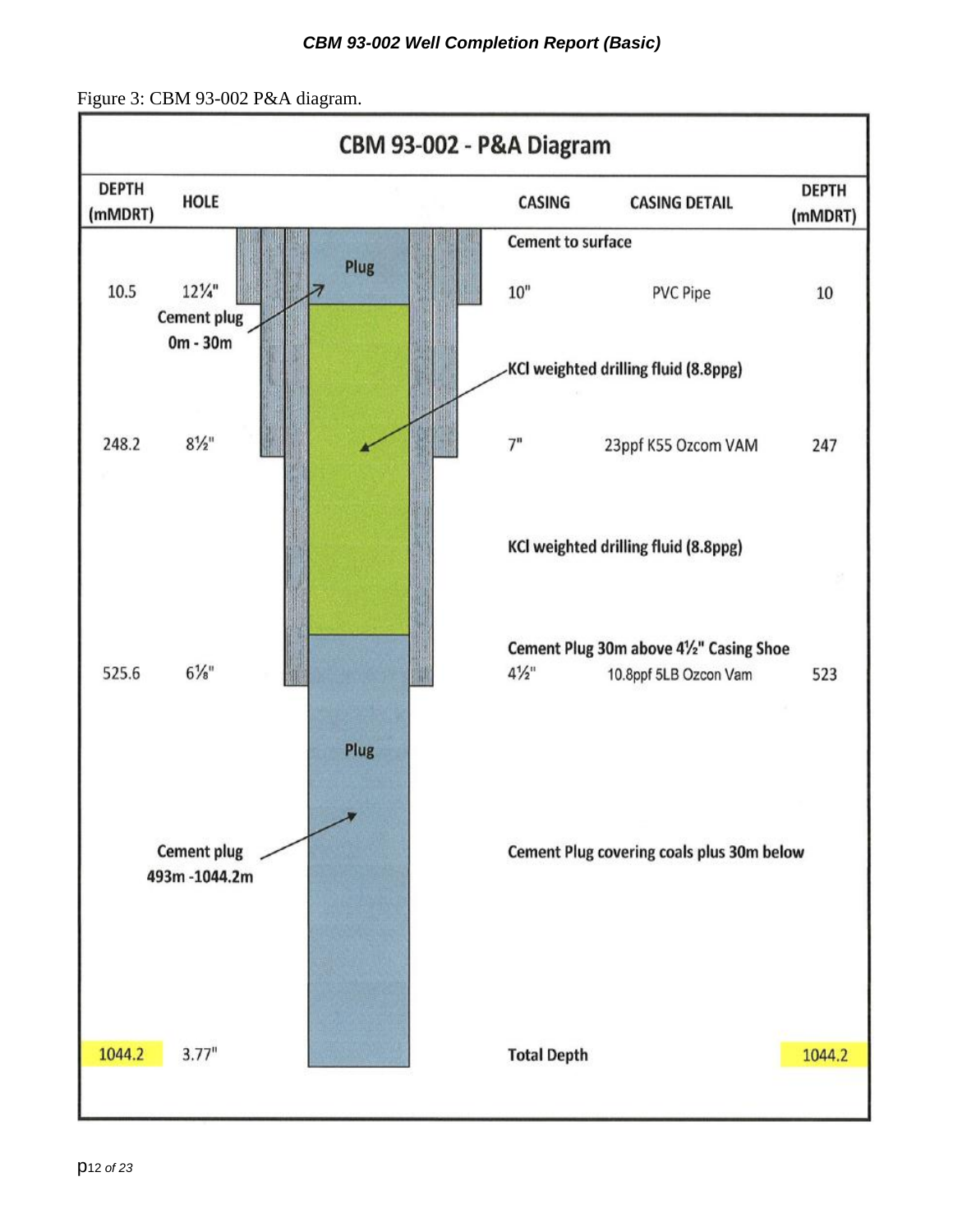<span id="page-11-0"></span>Figure 3: CBM 93-002 P&A diagram.

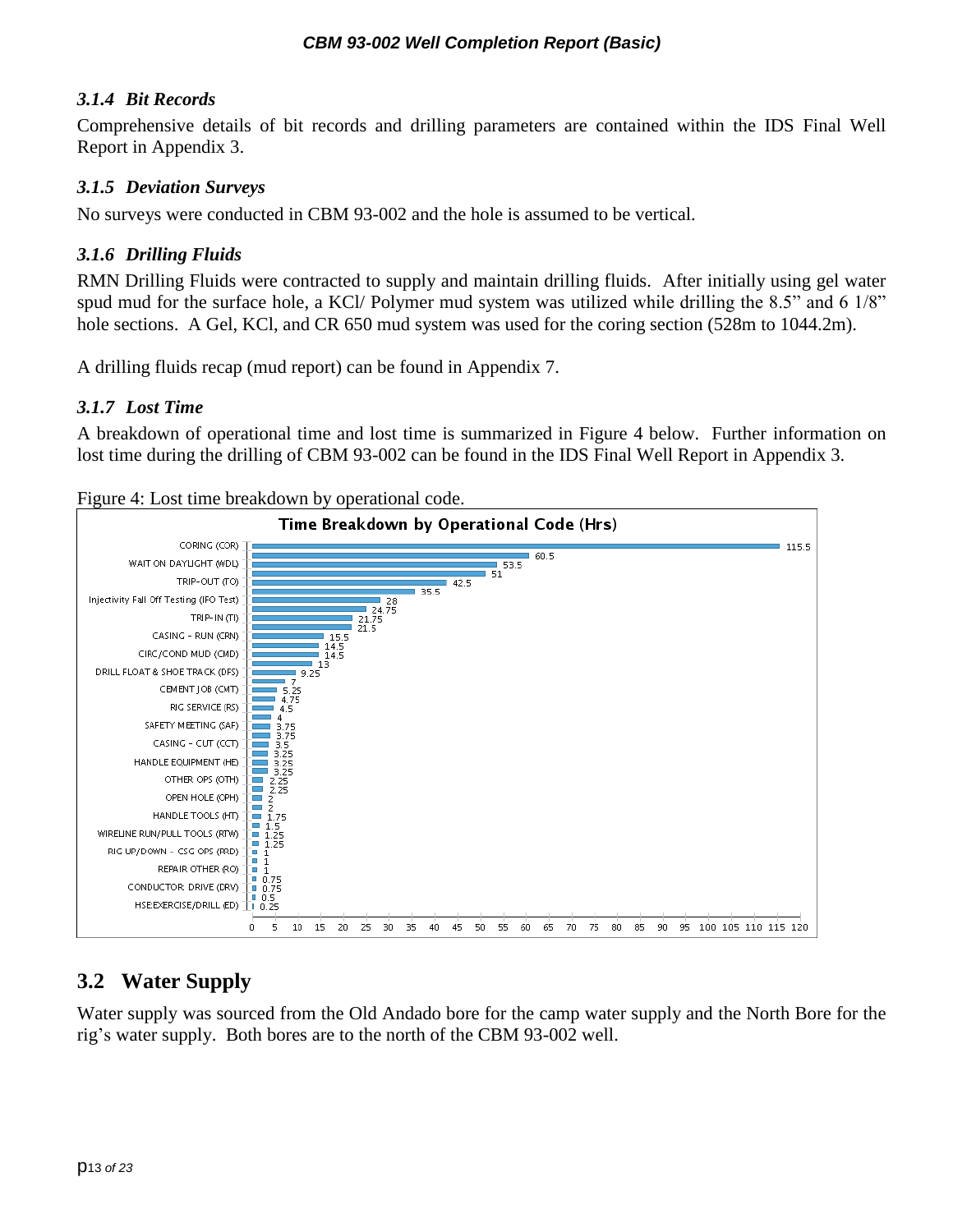#### <span id="page-12-0"></span>*3.1.4 Bit Records*

Comprehensive details of bit records and drilling parameters are contained within the IDS Final Well Report in Appendix 3.

#### <span id="page-12-1"></span>*3.1.5 Deviation Surveys*

No surveys were conducted in CBM 93-002 and the hole is assumed to be vertical.

### <span id="page-12-2"></span>*3.1.6 Drilling Fluids*

RMN Drilling Fluids were contracted to supply and maintain drilling fluids. After initially using gel water spud mud for the surface hole, a KCl/ Polymer mud system was utilized while drilling the 8.5" and 6 1/8" hole sections. A Gel, KCl, and CR 650 mud system was used for the coring section (528m to 1044.2m).

<span id="page-12-3"></span>A drilling fluids recap (mud report) can be found in Appendix 7.

### *3.1.7 Lost Time*

A breakdown of operational time and lost time is summarized in Figure 4 below. Further information on lost time during the drilling of CBM 93-002 can be found in the IDS Final Well Report in Appendix 3.

<span id="page-12-5"></span>Figure 4: Lost time breakdown by operational code.



### <span id="page-12-4"></span>**3.2 Water Supply**

Water supply was sourced from the Old Andado bore for the camp water supply and the North Bore for the rig's water supply. Both bores are to the north of the CBM 93-002 well.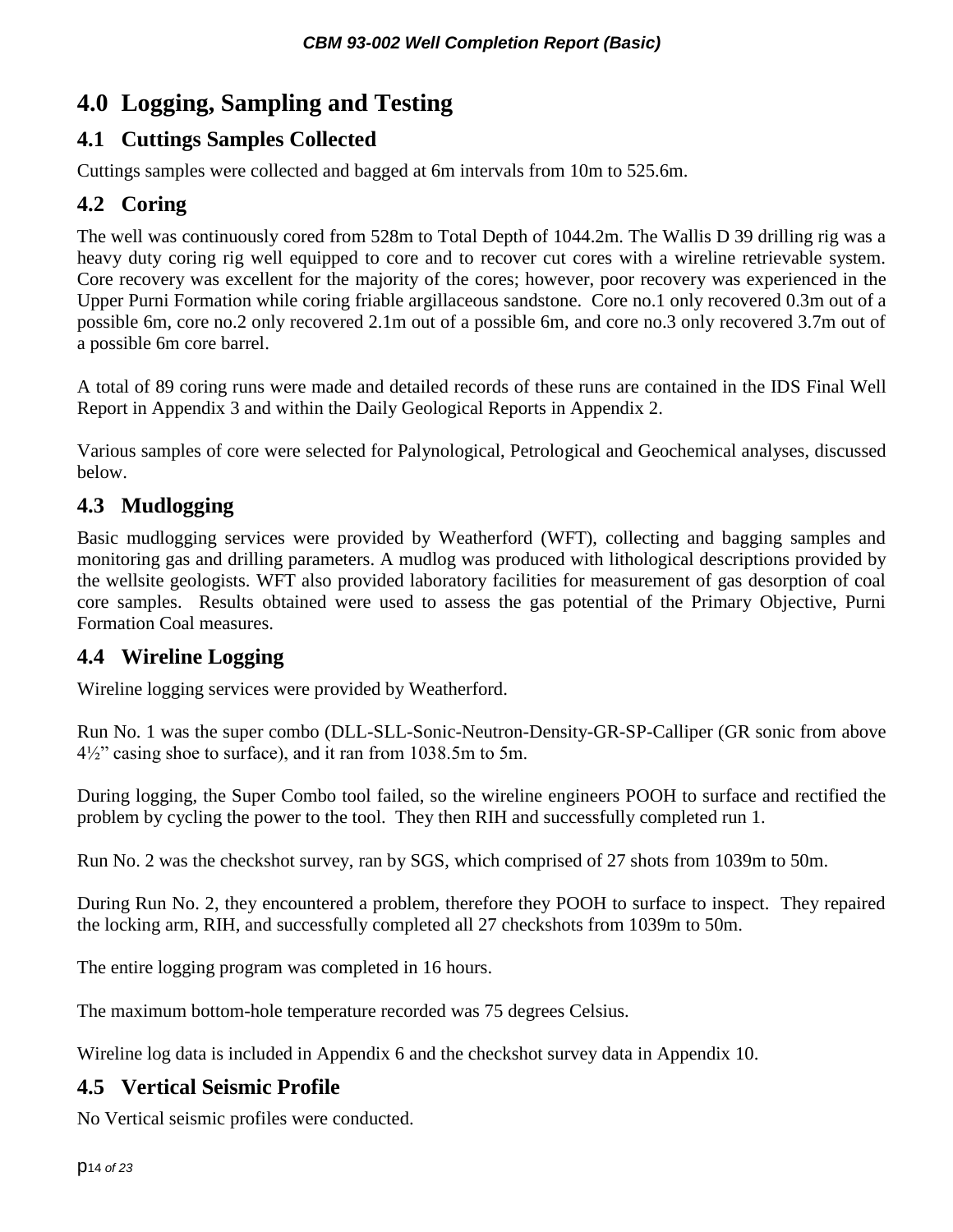# <span id="page-13-0"></span>**4.0 Logging, Sampling and Testing**

### <span id="page-13-1"></span>**4.1 Cuttings Samples Collected**

Cuttings samples were collected and bagged at 6m intervals from 10m to 525.6m.

### <span id="page-13-2"></span>**4.2 Coring**

The well was continuously cored from 528m to Total Depth of 1044.2m. The Wallis D 39 drilling rig was a heavy duty coring rig well equipped to core and to recover cut cores with a wireline retrievable system. Core recovery was excellent for the majority of the cores; however, poor recovery was experienced in the Upper Purni Formation while coring friable argillaceous sandstone. Core no.1 only recovered 0.3m out of a possible 6m, core no.2 only recovered 2.1m out of a possible 6m, and core no.3 only recovered 3.7m out of a possible 6m core barrel.

A total of 89 coring runs were made and detailed records of these runs are contained in the IDS Final Well Report in Appendix 3 and within the Daily Geological Reports in Appendix 2.

Various samples of core were selected for Palynological, Petrological and Geochemical analyses, discussed below.

### <span id="page-13-3"></span>**4.3 Mudlogging**

Basic mudlogging services were provided by Weatherford (WFT), collecting and bagging samples and monitoring gas and drilling parameters. A mudlog was produced with lithological descriptions provided by the wellsite geologists. WFT also provided laboratory facilities for measurement of gas desorption of coal core samples. Results obtained were used to assess the gas potential of the Primary Objective, Purni Formation Coal measures.

### <span id="page-13-4"></span>**4.4 Wireline Logging**

Wireline logging services were provided by Weatherford.

Run No. 1 was the super combo (DLL-SLL-Sonic-Neutron-Density-GR-SP-Calliper (GR sonic from above 4½" casing shoe to surface), and it ran from 1038.5m to 5m.

During logging, the Super Combo tool failed, so the wireline engineers POOH to surface and rectified the problem by cycling the power to the tool. They then RIH and successfully completed run 1.

Run No. 2 was the checkshot survey, ran by SGS, which comprised of 27 shots from 1039m to 50m.

During Run No. 2, they encountered a problem, therefore they POOH to surface to inspect. They repaired the locking arm, RIH, and successfully completed all 27 checkshots from 1039m to 50m.

The entire logging program was completed in 16 hours.

The maximum bottom-hole temperature recorded was 75 degrees Celsius.

Wireline log data is included in Appendix 6 and the checkshot survey data in Appendix 10.

### <span id="page-13-5"></span>**4.5 Vertical Seismic Profile**

No Vertical seismic profiles were conducted.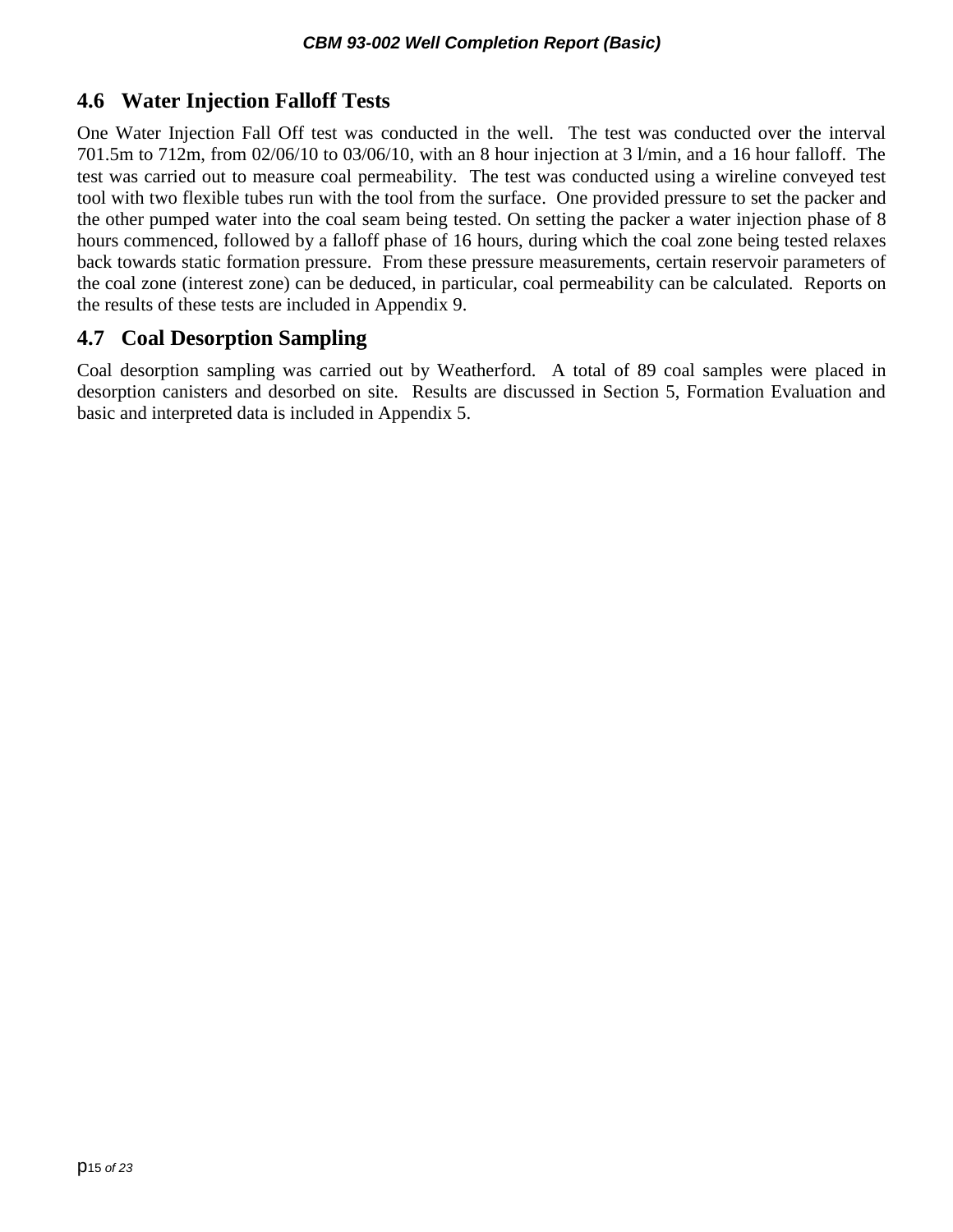### <span id="page-14-0"></span>**4.6 Water Injection Falloff Tests**

One Water Injection Fall Off test was conducted in the well. The test was conducted over the interval 701.5m to 712m, from 02/06/10 to 03/06/10, with an 8 hour injection at 3 l/min, and a 16 hour falloff. The test was carried out to measure coal permeability. The test was conducted using a wireline conveyed test tool with two flexible tubes run with the tool from the surface. One provided pressure to set the packer and the other pumped water into the coal seam being tested. On setting the packer a water injection phase of 8 hours commenced, followed by a falloff phase of 16 hours, during which the coal zone being tested relaxes back towards static formation pressure. From these pressure measurements, certain reservoir parameters of the coal zone (interest zone) can be deduced, in particular, coal permeability can be calculated. Reports on the results of these tests are included in Appendix 9.

### <span id="page-14-1"></span>**4.7 Coal Desorption Sampling**

Coal desorption sampling was carried out by Weatherford. A total of 89 coal samples were placed in desorption canisters and desorbed on site. Results are discussed in Section 5, Formation Evaluation and basic and interpreted data is included in Appendix 5.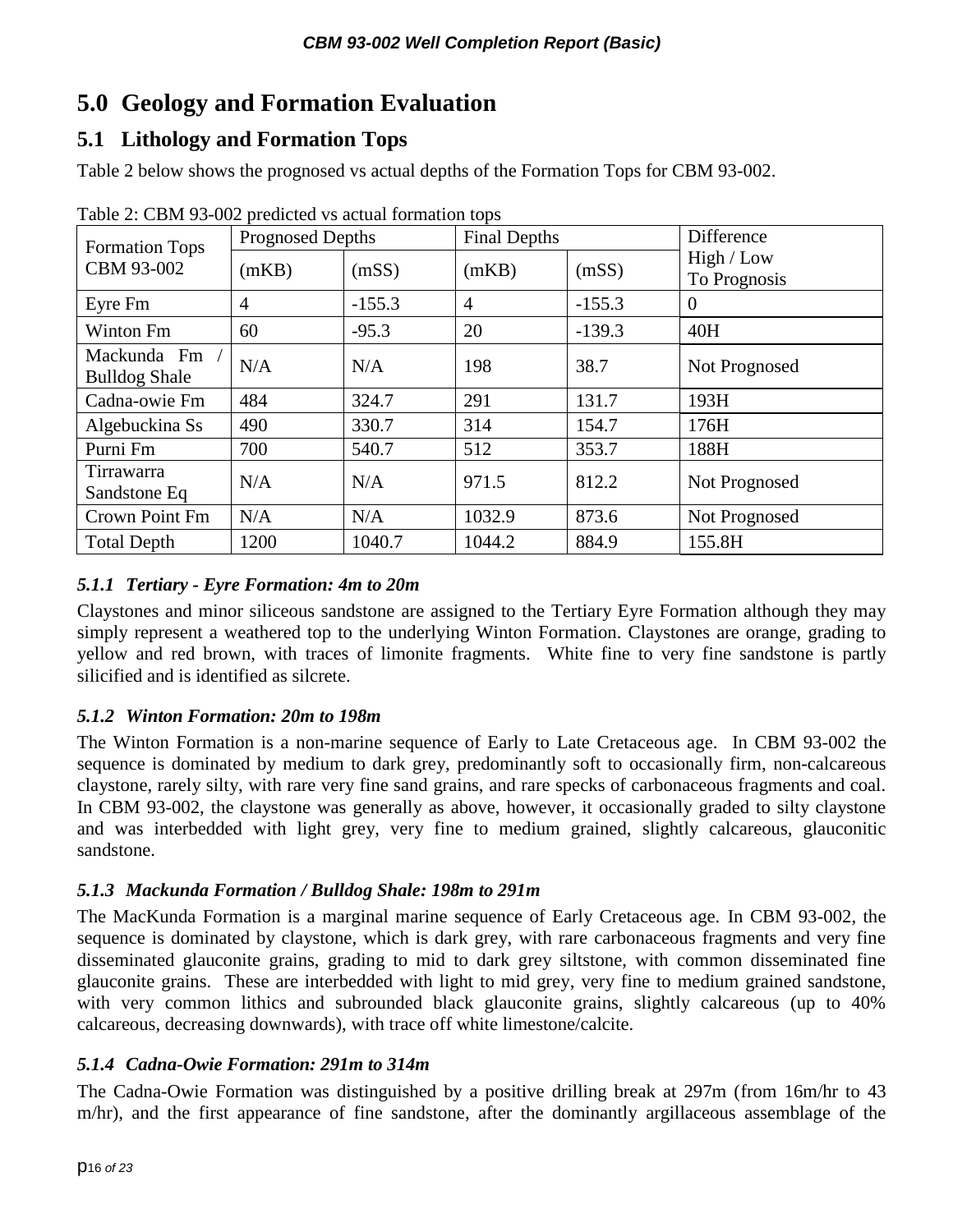# <span id="page-15-0"></span>**5.0 Geology and Formation Evaluation**

### <span id="page-15-1"></span>**5.1 Lithology and Formation Tops**

Table 2 below shows the prognosed vs actual depths of the Formation Tops for CBM 93-002.

| <b>Formation Tops</b>               | <b>Prognosed Depths</b> |          | <b>Final Depths</b> |          | Difference                 |  |
|-------------------------------------|-------------------------|----------|---------------------|----------|----------------------------|--|
| CBM 93-002                          | (mKB)                   | (mSS)    | (mKB)               | (mSS)    | High / Low<br>To Prognosis |  |
| Eyre Fm                             | $\overline{4}$          | $-155.3$ | $\overline{4}$      | $-155.3$ | $\overline{0}$             |  |
| Winton Fm                           | 60                      | $-95.3$  | 20                  | $-139.3$ | 40H                        |  |
| Mackunda Fm<br><b>Bulldog Shale</b> | N/A                     | N/A      | 198                 | 38.7     | Not Prognosed              |  |
| Cadna-owie Fm                       | 484                     | 324.7    | 291                 | 131.7    | 193H                       |  |
| Algebuckina Ss                      | 490                     | 330.7    | 314                 | 154.7    | 176H                       |  |
| Purni Fm                            | 700                     | 540.7    | 512                 | 353.7    | 188H                       |  |
| Tirrawarra<br>Sandstone Eq          | N/A                     | N/A      | 971.5               | 812.2    | Not Prognosed              |  |
| Crown Point Fm                      | N/A                     | N/A      | 1032.9              | 873.6    | Not Prognosed              |  |
| <b>Total Depth</b>                  | 1200                    | 1040.7   | 1044.2              | 884.9    | 155.8H                     |  |

Table 2: CBM 93-002 predicted vs actual formation tops

### <span id="page-15-2"></span>*5.1.1 Tertiary - Eyre Formation: 4m to 20m*

Claystones and minor siliceous sandstone are assigned to the Tertiary Eyre Formation although they may simply represent a weathered top to the underlying Winton Formation. Claystones are orange, grading to yellow and red brown, with traces of limonite fragments. White fine to very fine sandstone is partly silicified and is identified as silcrete.

### <span id="page-15-3"></span>*5.1.2 Winton Formation: 20m to 198m*

The Winton Formation is a non-marine sequence of Early to Late Cretaceous age. In CBM 93-002 the sequence is dominated by medium to dark grey, predominantly soft to occasionally firm, non-calcareous claystone, rarely silty, with rare very fine sand grains, and rare specks of carbonaceous fragments and coal. In CBM 93-002, the claystone was generally as above, however, it occasionally graded to silty claystone and was interbedded with light grey, very fine to medium grained, slightly calcareous, glauconitic sandstone.

### <span id="page-15-4"></span>*5.1.3 Mackunda Formation / Bulldog Shale: 198m to 291m*

The MacKunda Formation is a marginal marine sequence of Early Cretaceous age. In CBM 93-002, the sequence is dominated by claystone, which is dark grey, with rare carbonaceous fragments and very fine disseminated glauconite grains, grading to mid to dark grey siltstone, with common disseminated fine glauconite grains. These are interbedded with light to mid grey, very fine to medium grained sandstone, with very common lithics and subrounded black glauconite grains, slightly calcareous (up to 40%) calcareous, decreasing downwards), with trace off white limestone/calcite.

### <span id="page-15-5"></span>*5.1.4 Cadna-Owie Formation: 291m to 314m*

The Cadna-Owie Formation was distinguished by a positive drilling break at 297m (from 16m/hr to 43 m/hr), and the first appearance of fine sandstone, after the dominantly argillaceous assemblage of the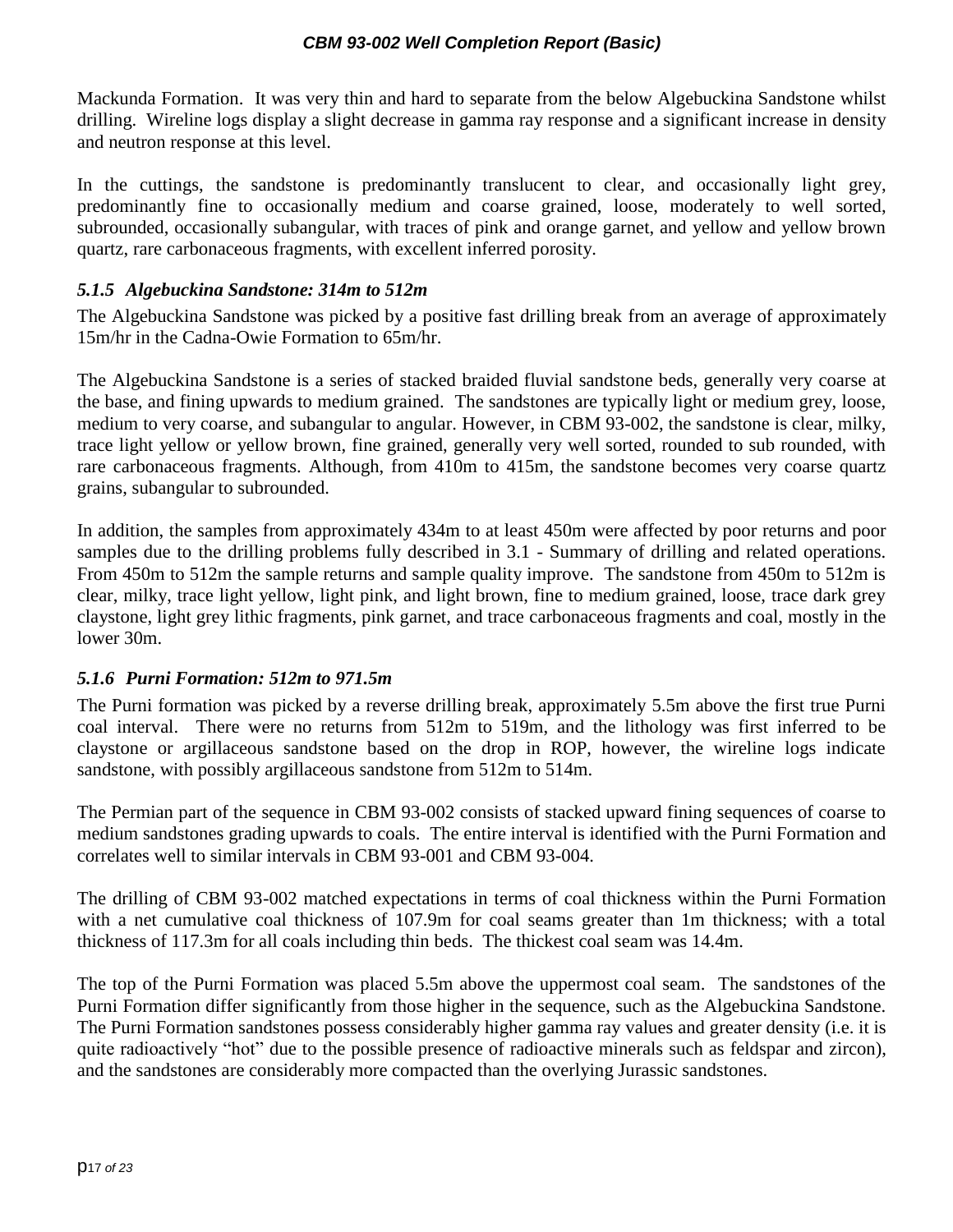Mackunda Formation. It was very thin and hard to separate from the below Algebuckina Sandstone whilst drilling. Wireline logs display a slight decrease in gamma ray response and a significant increase in density and neutron response at this level.

In the cuttings, the sandstone is predominantly translucent to clear, and occasionally light grey, predominantly fine to occasionally medium and coarse grained, loose, moderately to well sorted, subrounded, occasionally subangular, with traces of pink and orange garnet, and yellow and yellow brown quartz, rare carbonaceous fragments, with excellent inferred porosity.

### <span id="page-16-0"></span>*5.1.5 Algebuckina Sandstone: 314m to 512m*

The Algebuckina Sandstone was picked by a positive fast drilling break from an average of approximately 15m/hr in the Cadna-Owie Formation to 65m/hr.

The Algebuckina Sandstone is a series of stacked braided fluvial sandstone beds, generally very coarse at the base, and fining upwards to medium grained. The sandstones are typically light or medium grey, loose, medium to very coarse, and subangular to angular. However, in CBM 93-002, the sandstone is clear, milky, trace light yellow or yellow brown, fine grained, generally very well sorted, rounded to sub rounded, with rare carbonaceous fragments. Although, from 410m to 415m, the sandstone becomes very coarse quartz grains, subangular to subrounded.

In addition, the samples from approximately 434m to at least 450m were affected by poor returns and poor samples due to the drilling problems fully described in 3.1 - Summary of drilling and related operations. From 450m to 512m the sample returns and sample quality improve. The sandstone from 450m to 512m is clear, milky, trace light yellow, light pink, and light brown, fine to medium grained, loose, trace dark grey claystone, light grey lithic fragments, pink garnet, and trace carbonaceous fragments and coal, mostly in the lower 30m.

#### <span id="page-16-1"></span>*5.1.6 Purni Formation: 512m to 971.5m*

The Purni formation was picked by a reverse drilling break, approximately 5.5m above the first true Purni coal interval. There were no returns from 512m to 519m, and the lithology was first inferred to be claystone or argillaceous sandstone based on the drop in ROP, however, the wireline logs indicate sandstone, with possibly argillaceous sandstone from 512m to 514m.

The Permian part of the sequence in CBM 93-002 consists of stacked upward fining sequences of coarse to medium sandstones grading upwards to coals. The entire interval is identified with the Purni Formation and correlates well to similar intervals in CBM 93-001 and CBM 93-004.

The drilling of CBM 93-002 matched expectations in terms of coal thickness within the Purni Formation with a net cumulative coal thickness of 107.9m for coal seams greater than 1m thickness; with a total thickness of 117.3m for all coals including thin beds. The thickest coal seam was 14.4m.

The top of the Purni Formation was placed 5.5m above the uppermost coal seam. The sandstones of the Purni Formation differ significantly from those higher in the sequence, such as the Algebuckina Sandstone. The Purni Formation sandstones possess considerably higher gamma ray values and greater density (i.e. it is quite radioactively "hot" due to the possible presence of radioactive minerals such as feldspar and zircon), and the sandstones are considerably more compacted than the overlying Jurassic sandstones.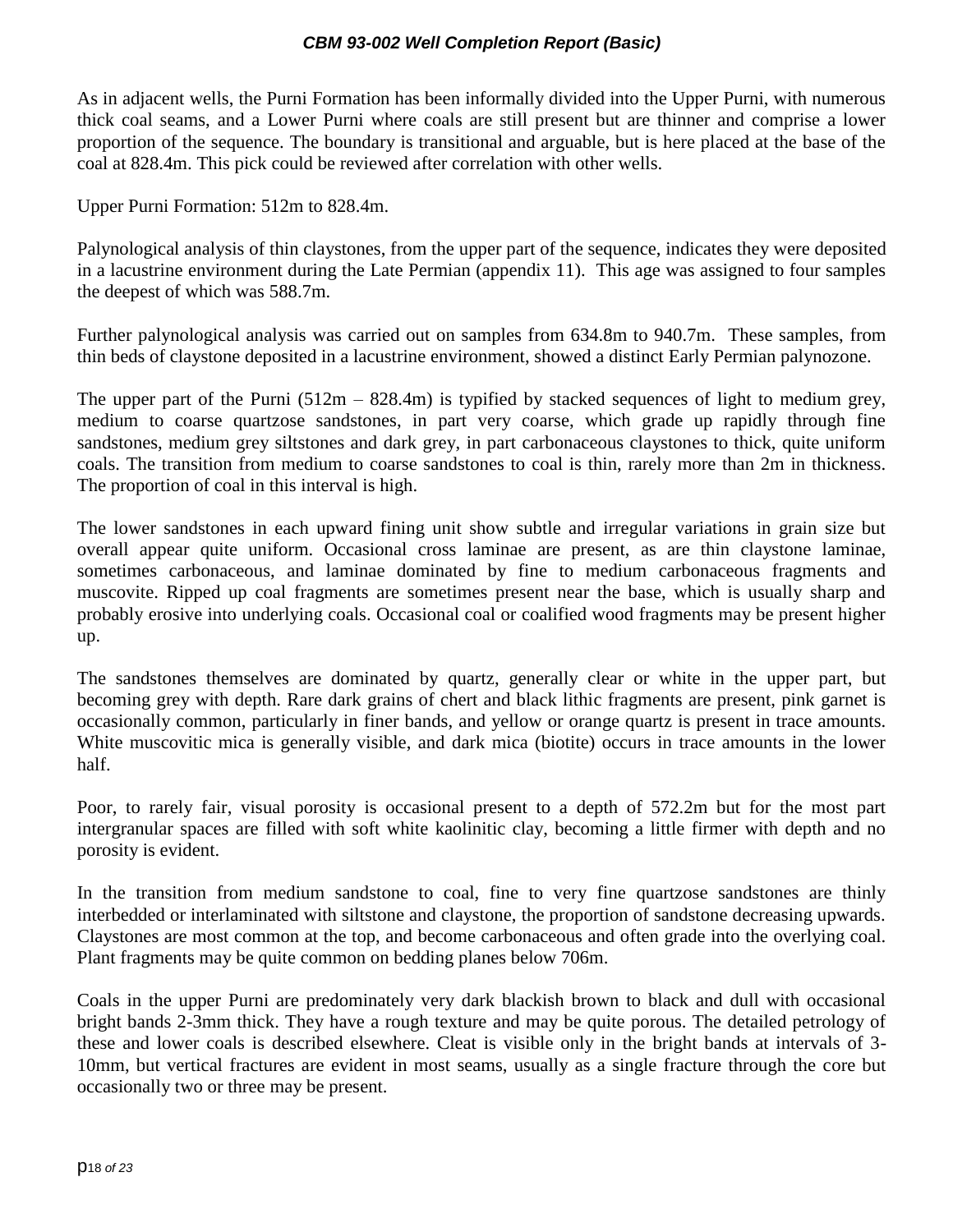As in adjacent wells, the Purni Formation has been informally divided into the Upper Purni, with numerous thick coal seams, and a Lower Purni where coals are still present but are thinner and comprise a lower proportion of the sequence. The boundary is transitional and arguable, but is here placed at the base of the coal at 828.4m. This pick could be reviewed after correlation with other wells.

Upper Purni Formation: 512m to 828.4m.

Palynological analysis of thin claystones, from the upper part of the sequence, indicates they were deposited in a lacustrine environment during the Late Permian (appendix 11). This age was assigned to four samples the deepest of which was 588.7m.

Further palynological analysis was carried out on samples from 634.8m to 940.7m. These samples, from thin beds of claystone deposited in a lacustrine environment, showed a distinct Early Permian palynozone.

The upper part of the Purni  $(512m - 828.4m)$  is typified by stacked sequences of light to medium grey, medium to coarse quartzose sandstones, in part very coarse, which grade up rapidly through fine sandstones, medium grey siltstones and dark grey, in part carbonaceous claystones to thick, quite uniform coals. The transition from medium to coarse sandstones to coal is thin, rarely more than 2m in thickness. The proportion of coal in this interval is high.

The lower sandstones in each upward fining unit show subtle and irregular variations in grain size but overall appear quite uniform. Occasional cross laminae are present, as are thin claystone laminae, sometimes carbonaceous, and laminae dominated by fine to medium carbonaceous fragments and muscovite. Ripped up coal fragments are sometimes present near the base, which is usually sharp and probably erosive into underlying coals. Occasional coal or coalified wood fragments may be present higher up.

The sandstones themselves are dominated by quartz, generally clear or white in the upper part, but becoming grey with depth. Rare dark grains of chert and black lithic fragments are present, pink garnet is occasionally common, particularly in finer bands, and yellow or orange quartz is present in trace amounts. White muscovitic mica is generally visible, and dark mica (biotite) occurs in trace amounts in the lower half.

Poor, to rarely fair, visual porosity is occasional present to a depth of 572.2m but for the most part intergranular spaces are filled with soft white kaolinitic clay, becoming a little firmer with depth and no porosity is evident.

In the transition from medium sandstone to coal, fine to very fine quartzose sandstones are thinly interbedded or interlaminated with siltstone and claystone, the proportion of sandstone decreasing upwards. Claystones are most common at the top, and become carbonaceous and often grade into the overlying coal. Plant fragments may be quite common on bedding planes below 706m.

Coals in the upper Purni are predominately very dark blackish brown to black and dull with occasional bright bands 2-3mm thick. They have a rough texture and may be quite porous. The detailed petrology of these and lower coals is described elsewhere. Cleat is visible only in the bright bands at intervals of 3- 10mm, but vertical fractures are evident in most seams, usually as a single fracture through the core but occasionally two or three may be present.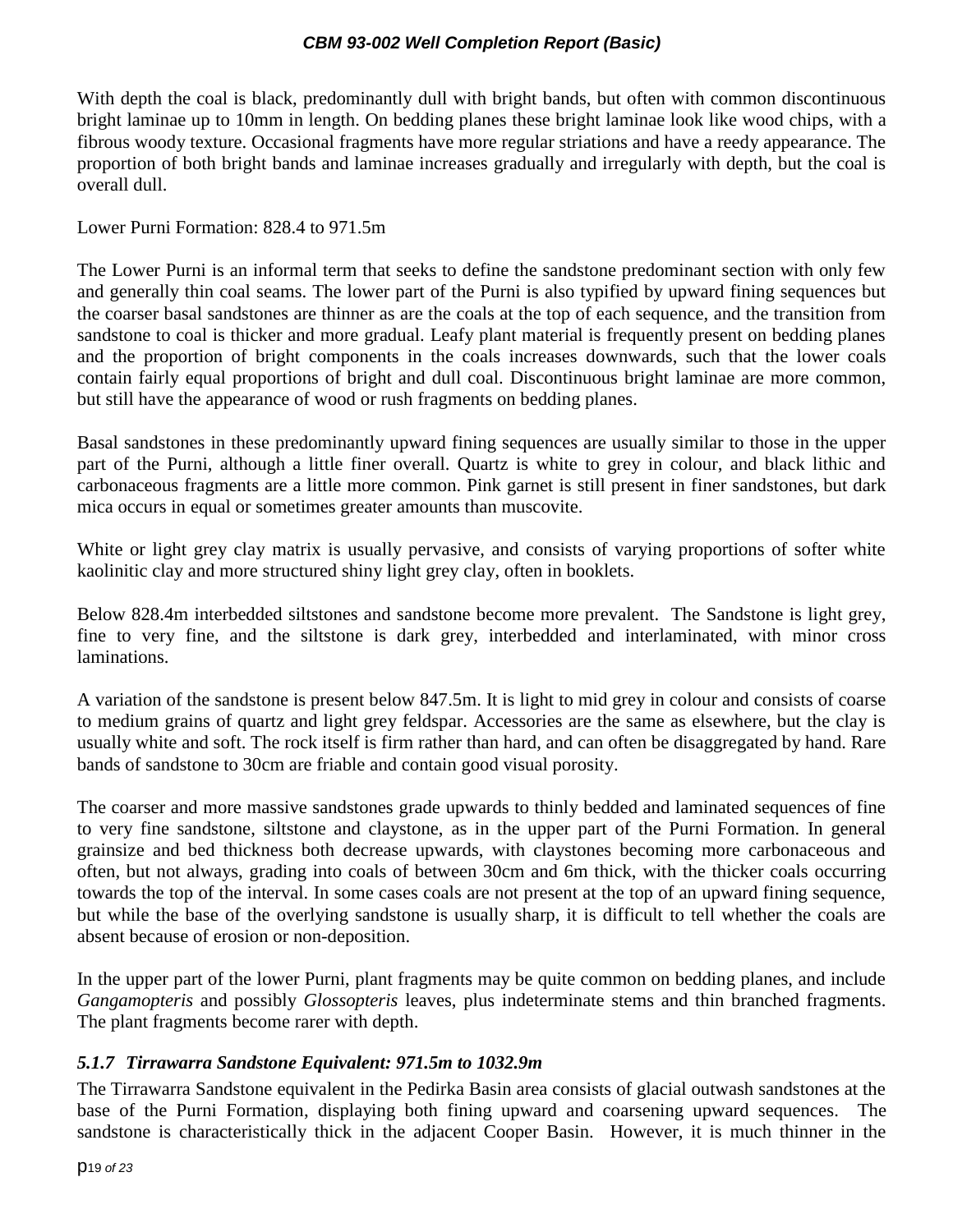With depth the coal is black, predominantly dull with bright bands, but often with common discontinuous bright laminae up to 10mm in length. On bedding planes these bright laminae look like wood chips, with a fibrous woody texture. Occasional fragments have more regular striations and have a reedy appearance. The proportion of both bright bands and laminae increases gradually and irregularly with depth, but the coal is overall dull.

Lower Purni Formation: 828.4 to 971.5m

The Lower Purni is an informal term that seeks to define the sandstone predominant section with only few and generally thin coal seams. The lower part of the Purni is also typified by upward fining sequences but the coarser basal sandstones are thinner as are the coals at the top of each sequence, and the transition from sandstone to coal is thicker and more gradual. Leafy plant material is frequently present on bedding planes and the proportion of bright components in the coals increases downwards, such that the lower coals contain fairly equal proportions of bright and dull coal. Discontinuous bright laminae are more common, but still have the appearance of wood or rush fragments on bedding planes.

Basal sandstones in these predominantly upward fining sequences are usually similar to those in the upper part of the Purni, although a little finer overall. Quartz is white to grey in colour, and black lithic and carbonaceous fragments are a little more common. Pink garnet is still present in finer sandstones, but dark mica occurs in equal or sometimes greater amounts than muscovite.

White or light grey clay matrix is usually pervasive, and consists of varying proportions of softer white kaolinitic clay and more structured shiny light grey clay, often in booklets.

Below 828.4m interbedded siltstones and sandstone become more prevalent. The Sandstone is light grey, fine to very fine, and the siltstone is dark grey, interbedded and interlaminated, with minor cross laminations.

A variation of the sandstone is present below 847.5m. It is light to mid grey in colour and consists of coarse to medium grains of quartz and light grey feldspar. Accessories are the same as elsewhere, but the clay is usually white and soft. The rock itself is firm rather than hard, and can often be disaggregated by hand. Rare bands of sandstone to 30cm are friable and contain good visual porosity.

The coarser and more massive sandstones grade upwards to thinly bedded and laminated sequences of fine to very fine sandstone, siltstone and claystone, as in the upper part of the Purni Formation. In general grainsize and bed thickness both decrease upwards, with claystones becoming more carbonaceous and often, but not always, grading into coals of between 30cm and 6m thick, with the thicker coals occurring towards the top of the interval. In some cases coals are not present at the top of an upward fining sequence, but while the base of the overlying sandstone is usually sharp, it is difficult to tell whether the coals are absent because of erosion or non-deposition.

In the upper part of the lower Purni, plant fragments may be quite common on bedding planes, and include *Gangamopteris* and possibly *Glossopteris* leaves, plus indeterminate stems and thin branched fragments. The plant fragments become rarer with depth.

#### <span id="page-18-0"></span>*5.1.7 Tirrawarra Sandstone Equivalent: 971.5m to 1032.9m*

The Tirrawarra Sandstone equivalent in the Pedirka Basin area consists of glacial outwash sandstones at the base of the Purni Formation, displaying both fining upward and coarsening upward sequences. The sandstone is characteristically thick in the adjacent Cooper Basin. However, it is much thinner in the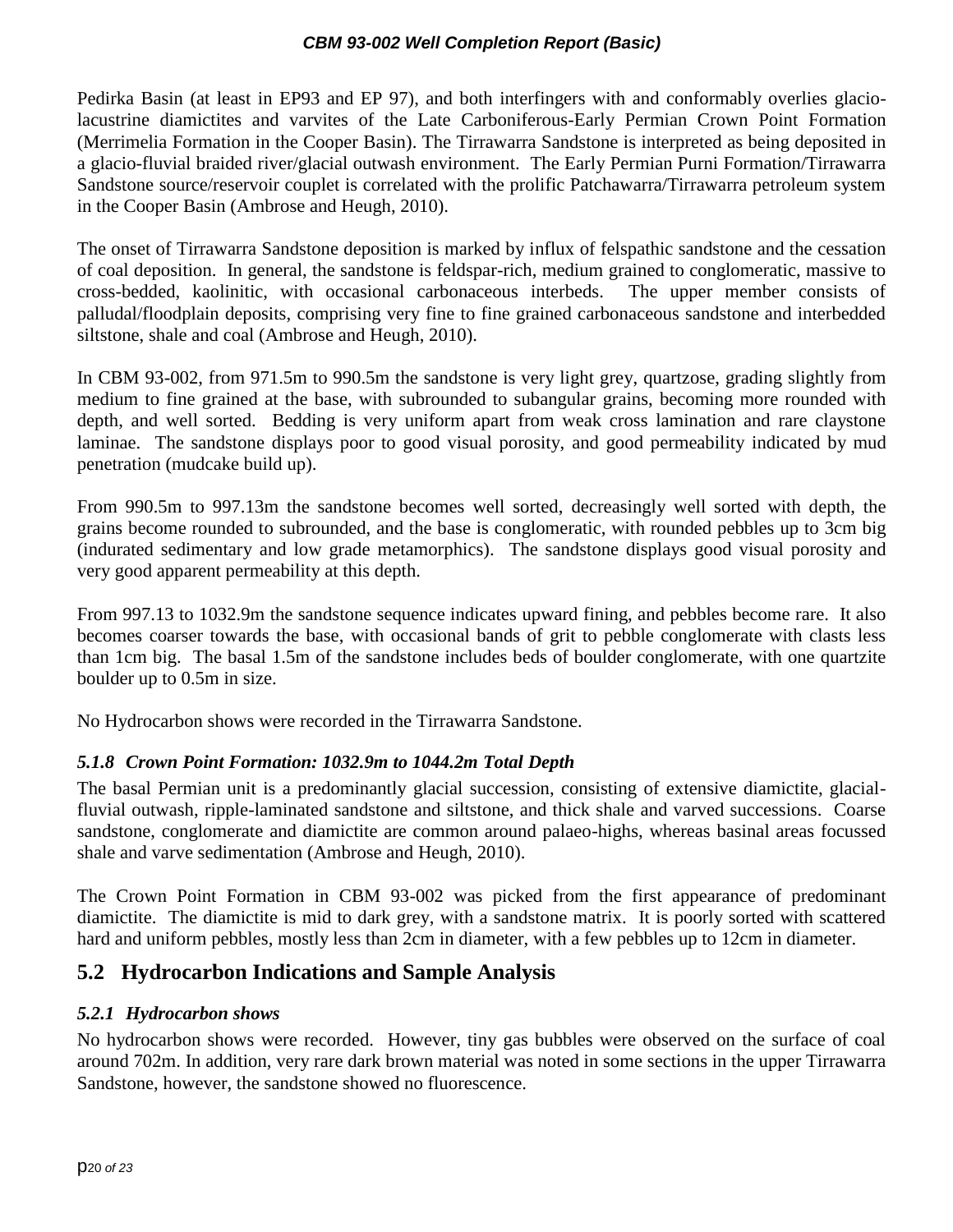Pedirka Basin (at least in EP93 and EP 97), and both interfingers with and conformably overlies glaciolacustrine diamictites and varvites of the Late Carboniferous-Early Permian Crown Point Formation (Merrimelia Formation in the Cooper Basin). The Tirrawarra Sandstone is interpreted as being deposited in a glacio-fluvial braided river/glacial outwash environment. The Early Permian Purni Formation/Tirrawarra Sandstone source/reservoir couplet is correlated with the prolific Patchawarra/Tirrawarra petroleum system in the Cooper Basin (Ambrose and Heugh, 2010).

The onset of Tirrawarra Sandstone deposition is marked by influx of felspathic sandstone and the cessation of coal deposition. In general, the sandstone is feldspar-rich, medium grained to conglomeratic, massive to cross-bedded, kaolinitic, with occasional carbonaceous interbeds. The upper member consists of palludal/floodplain deposits, comprising very fine to fine grained carbonaceous sandstone and interbedded siltstone, shale and coal (Ambrose and Heugh, 2010).

In CBM 93-002, from 971.5m to 990.5m the sandstone is very light grey, quartzose, grading slightly from medium to fine grained at the base, with subrounded to subangular grains, becoming more rounded with depth, and well sorted. Bedding is very uniform apart from weak cross lamination and rare claystone laminae. The sandstone displays poor to good visual porosity, and good permeability indicated by mud penetration (mudcake build up).

From 990.5m to 997.13m the sandstone becomes well sorted, decreasingly well sorted with depth, the grains become rounded to subrounded, and the base is conglomeratic, with rounded pebbles up to 3cm big (indurated sedimentary and low grade metamorphics). The sandstone displays good visual porosity and very good apparent permeability at this depth.

From 997.13 to 1032.9m the sandstone sequence indicates upward fining, and pebbles become rare. It also becomes coarser towards the base, with occasional bands of grit to pebble conglomerate with clasts less than 1cm big. The basal 1.5m of the sandstone includes beds of boulder conglomerate, with one quartzite boulder up to 0.5m in size.

No Hydrocarbon shows were recorded in the Tirrawarra Sandstone.

### <span id="page-19-0"></span>*5.1.8 Crown Point Formation: 1032.9m to 1044.2m Total Depth*

The basal Permian unit is a predominantly glacial succession, consisting of extensive diamictite, glacialfluvial outwash, ripple-laminated sandstone and siltstone, and thick shale and varved successions. Coarse sandstone, conglomerate and diamictite are common around palaeo-highs, whereas basinal areas focussed shale and varve sedimentation (Ambrose and Heugh, 2010).

The Crown Point Formation in CBM 93-002 was picked from the first appearance of predominant diamictite. The diamictite is mid to dark grey, with a sandstone matrix. It is poorly sorted with scattered hard and uniform pebbles, mostly less than 2cm in diameter, with a few pebbles up to 12cm in diameter.

### <span id="page-19-1"></span>**5.2 Hydrocarbon Indications and Sample Analysis**

#### <span id="page-19-2"></span>*5.2.1 Hydrocarbon shows*

No hydrocarbon shows were recorded. However, tiny gas bubbles were observed on the surface of coal around 702m. In addition, very rare dark brown material was noted in some sections in the upper Tirrawarra Sandstone, however, the sandstone showed no fluorescence.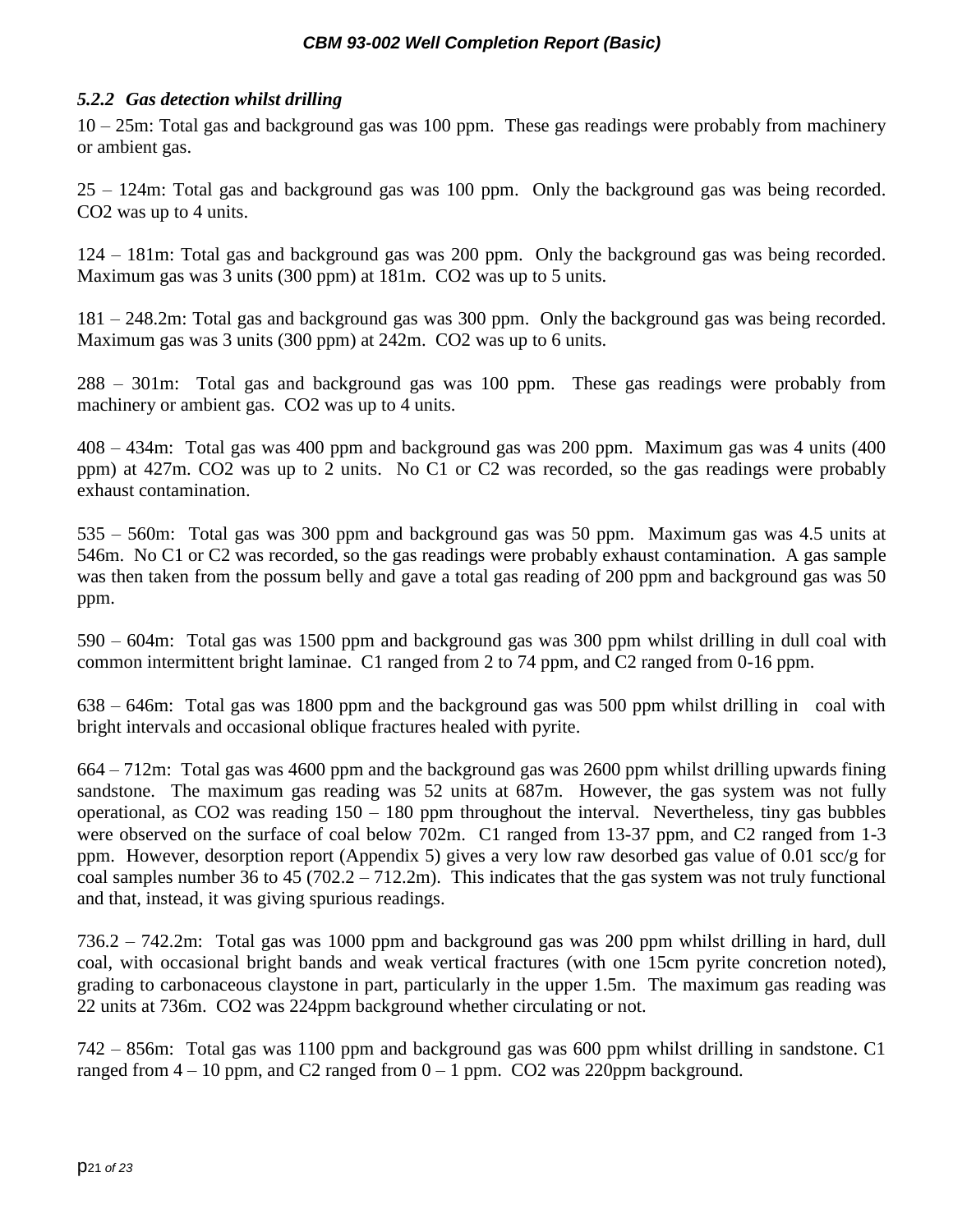### <span id="page-20-0"></span>*5.2.2 Gas detection whilst drilling*

10 – 25m: Total gas and background gas was 100 ppm. These gas readings were probably from machinery or ambient gas.

25 – 124m: Total gas and background gas was 100 ppm. Only the background gas was being recorded. CO2 was up to 4 units.

124 – 181m: Total gas and background gas was 200 ppm. Only the background gas was being recorded. Maximum gas was 3 units (300 ppm) at 181m. CO2 was up to 5 units.

181 – 248.2m: Total gas and background gas was 300 ppm. Only the background gas was being recorded. Maximum gas was 3 units (300 ppm) at 242m. CO2 was up to 6 units.

288 – 301m: Total gas and background gas was 100 ppm. These gas readings were probably from machinery or ambient gas. CO2 was up to 4 units.

408 – 434m: Total gas was 400 ppm and background gas was 200 ppm. Maximum gas was 4 units (400 ppm) at 427m. CO2 was up to 2 units. No C1 or C2 was recorded, so the gas readings were probably exhaust contamination.

535 – 560m: Total gas was 300 ppm and background gas was 50 ppm. Maximum gas was 4.5 units at 546m. No C1 or C2 was recorded, so the gas readings were probably exhaust contamination. A gas sample was then taken from the possum belly and gave a total gas reading of 200 ppm and background gas was 50 ppm.

590 – 604m: Total gas was 1500 ppm and background gas was 300 ppm whilst drilling in dull coal with common intermittent bright laminae. C1 ranged from 2 to 74 ppm, and C2 ranged from 0-16 ppm.

638 – 646m: Total gas was 1800 ppm and the background gas was 500 ppm whilst drilling in coal with bright intervals and occasional oblique fractures healed with pyrite.

664 – 712m: Total gas was 4600 ppm and the background gas was 2600 ppm whilst drilling upwards fining sandstone. The maximum gas reading was 52 units at 687m. However, the gas system was not fully operational, as CO2 was reading 150 – 180 ppm throughout the interval. Nevertheless, tiny gas bubbles were observed on the surface of coal below 702m. C1 ranged from 13-37 ppm, and C2 ranged from 1-3 ppm. However, desorption report (Appendix 5) gives a very low raw desorbed gas value of 0.01 scc/g for coal samples number 36 to 45 (702.2 – 712.2m). This indicates that the gas system was not truly functional and that, instead, it was giving spurious readings.

736.2 – 742.2m: Total gas was 1000 ppm and background gas was 200 ppm whilst drilling in hard, dull coal, with occasional bright bands and weak vertical fractures (with one 15cm pyrite concretion noted), grading to carbonaceous claystone in part, particularly in the upper 1.5m. The maximum gas reading was 22 units at 736m. CO2 was 224ppm background whether circulating or not.

742 – 856m: Total gas was 1100 ppm and background gas was 600 ppm whilst drilling in sandstone. C1 ranged from  $4 - 10$  ppm, and C2 ranged from  $0 - 1$  ppm. CO2 was 220ppm background.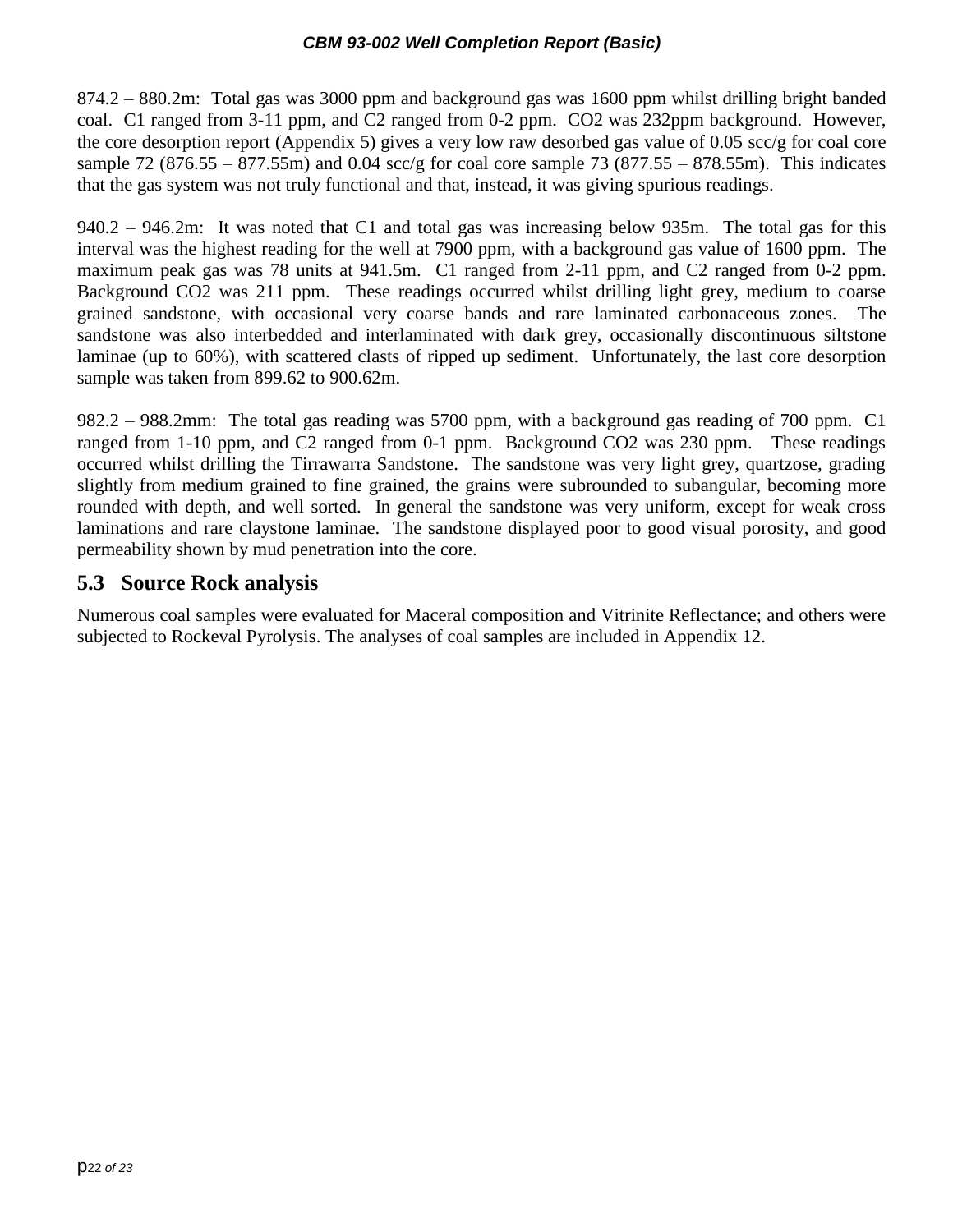874.2 – 880.2m: Total gas was 3000 ppm and background gas was 1600 ppm whilst drilling bright banded coal. C1 ranged from 3-11 ppm, and C2 ranged from 0-2 ppm. CO2 was 232ppm background. However, the core desorption report (Appendix 5) gives a very low raw desorbed gas value of 0.05 scc/g for coal core sample 72 (876.55 – 877.55m) and 0.04 scc/g for coal core sample 73 (877.55 – 878.55m). This indicates that the gas system was not truly functional and that, instead, it was giving spurious readings.

940.2 – 946.2m: It was noted that C1 and total gas was increasing below 935m. The total gas for this interval was the highest reading for the well at 7900 ppm, with a background gas value of 1600 ppm. The maximum peak gas was 78 units at 941.5m. C1 ranged from 2-11 ppm, and C2 ranged from 0-2 ppm. Background CO2 was 211 ppm. These readings occurred whilst drilling light grey, medium to coarse grained sandstone, with occasional very coarse bands and rare laminated carbonaceous zones. The sandstone was also interbedded and interlaminated with dark grey, occasionally discontinuous siltstone laminae (up to 60%), with scattered clasts of ripped up sediment. Unfortunately, the last core desorption sample was taken from 899.62 to 900.62m.

982.2 – 988.2mm: The total gas reading was 5700 ppm, with a background gas reading of 700 ppm. C1 ranged from 1-10 ppm, and C2 ranged from 0-1 ppm. Background CO2 was 230 ppm. These readings occurred whilst drilling the Tirrawarra Sandstone. The sandstone was very light grey, quartzose, grading slightly from medium grained to fine grained, the grains were subrounded to subangular, becoming more rounded with depth, and well sorted. In general the sandstone was very uniform, except for weak cross laminations and rare claystone laminae. The sandstone displayed poor to good visual porosity, and good permeability shown by mud penetration into the core.

### <span id="page-21-0"></span>**5.3 Source Rock analysis**

Numerous coal samples were evaluated for Maceral composition and Vitrinite Reflectance; and others were subjected to Rockeval Pyrolysis. The analyses of coal samples are included in Appendix 12.